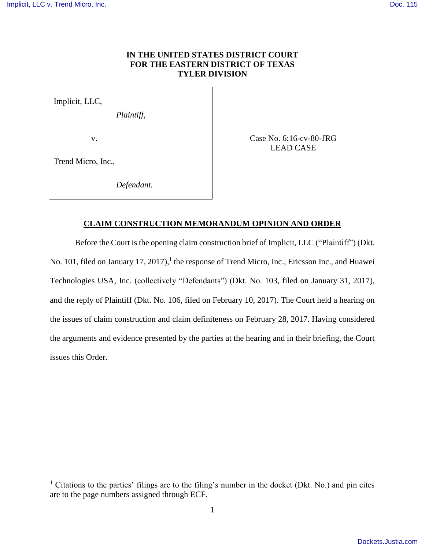# **IN THE UNITED STATES DISTRICT COURT FOR THE EASTERN DISTRICT OF TEXAS TYLER DIVISION**

Implicit, LLC,

*Plaintiff*,

v.

Case No. 6:16-cv-80-JRG LEAD CASE

Trend Micro, Inc.,

 $\overline{a}$ 

*Defendant.*

# **CLAIM CONSTRUCTION MEMORANDUM OPINION AND ORDER**

Before the Court is the opening claim construction brief of Implicit, LLC ("Plaintiff") (Dkt.

No. 101, filed on January 17, 2017),<sup>1</sup> the response of Trend Micro, Inc., Ericsson Inc., and Huawei Technologies USA, Inc. (collectively "Defendants") (Dkt. No. 103, filed on January 31, 2017), and the reply of Plaintiff (Dkt. No. 106, filed on February 10, 2017). The Court held a hearing on the issues of claim construction and claim definiteness on February 28, 2017. Having considered the arguments and evidence presented by the parties at the hearing and in their briefing, the Court issues this Order.

<sup>1</sup> Citations to the parties' filings are to the filing's number in the docket (Dkt. No.) and pin cites are to the page numbers assigned through ECF.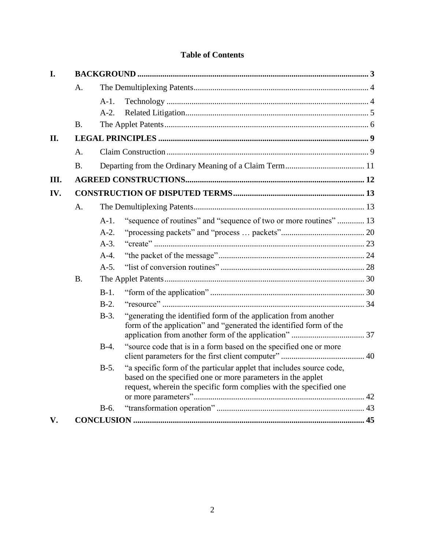# **Table of Contents**

| I.         |           |                                                                                |  |  |
|------------|-----------|--------------------------------------------------------------------------------|--|--|
|            | A.        |                                                                                |  |  |
|            |           | A-1.                                                                           |  |  |
|            |           | $A-2.$                                                                         |  |  |
|            | B.        |                                                                                |  |  |
| <b>II.</b> |           |                                                                                |  |  |
|            | A.        |                                                                                |  |  |
|            | <b>B.</b> |                                                                                |  |  |
| III.       |           |                                                                                |  |  |
| IV.        |           |                                                                                |  |  |
|            | A.        |                                                                                |  |  |
|            |           | "sequence of routines" and "sequence of two or more routines"  13<br>A-1.      |  |  |
|            |           | $A-2.$                                                                         |  |  |
|            |           | $A-3$ .                                                                        |  |  |
|            |           | $A-4.$                                                                         |  |  |
|            |           | $A-5.$                                                                         |  |  |
|            | <b>B.</b> |                                                                                |  |  |
|            |           | $B-1.$                                                                         |  |  |
|            |           | $B-2$ .                                                                        |  |  |
|            |           | "generating the identified form of the application from another<br>$B-3$ .     |  |  |
|            |           | form of the application" and "generated the identified form of the             |  |  |
|            |           | "source code that is in a form based on the specified one or more<br>$B-4.$    |  |  |
|            |           |                                                                                |  |  |
|            |           | "a specific form of the particular applet that includes source code,<br>$B-5.$ |  |  |
|            |           | based on the specified one or more parameters in the applet                    |  |  |
|            |           | request, wherein the specific form complies with the specified one             |  |  |
|            |           | $B-6.$                                                                         |  |  |
| V.         |           |                                                                                |  |  |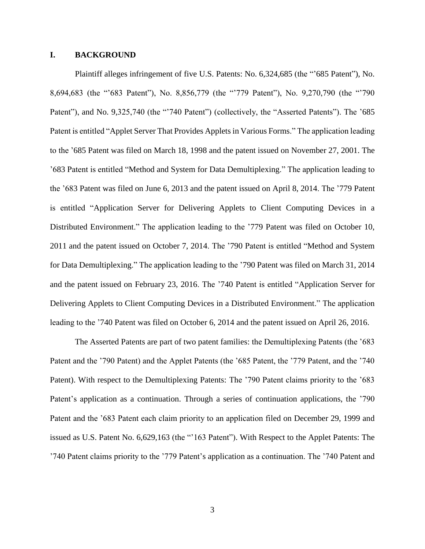# <span id="page-2-0"></span>**I. BACKGROUND**

Plaintiff alleges infringement of five U.S. Patents: No. 6,324,685 (the "'685 Patent"), No. 8,694,683 (the "'683 Patent"), No. 8,856,779 (the "'779 Patent"), No. 9,270,790 (the "'790 Patent"), and No. 9,325,740 (the "'740 Patent") (collectively, the "Asserted Patents"). The '685 Patent is entitled "Applet Server That Provides Applets in Various Forms." The application leading to the '685 Patent was filed on March 18, 1998 and the patent issued on November 27, 2001. The '683 Patent is entitled "Method and System for Data Demultiplexing." The application leading to the '683 Patent was filed on June 6, 2013 and the patent issued on April 8, 2014. The '779 Patent is entitled "Application Server for Delivering Applets to Client Computing Devices in a Distributed Environment." The application leading to the '779 Patent was filed on October 10, 2011 and the patent issued on October 7, 2014. The '790 Patent is entitled "Method and System for Data Demultiplexing." The application leading to the '790 Patent was filed on March 31, 2014 and the patent issued on February 23, 2016. The '740 Patent is entitled "Application Server for Delivering Applets to Client Computing Devices in a Distributed Environment." The application leading to the '740 Patent was filed on October 6, 2014 and the patent issued on April 26, 2016.

The Asserted Patents are part of two patent families: the Demultiplexing Patents (the '683 Patent and the '790 Patent) and the Applet Patents (the '685 Patent, the '779 Patent, and the '740 Patent). With respect to the Demultiplexing Patents: The '790 Patent claims priority to the '683 Patent's application as a continuation. Through a series of continuation applications, the '790 Patent and the '683 Patent each claim priority to an application filed on December 29, 1999 and issued as U.S. Patent No. 6,629,163 (the "'163 Patent"). With Respect to the Applet Patents: The '740 Patent claims priority to the '779 Patent's application as a continuation. The '740 Patent and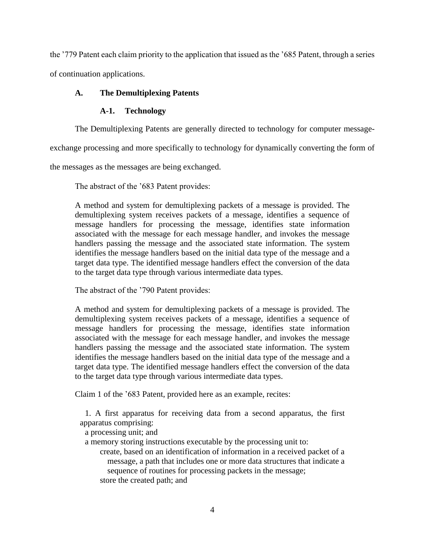the '779 Patent each claim priority to the application that issued as the '685 Patent, through a series of continuation applications.

# <span id="page-3-1"></span><span id="page-3-0"></span>**A. The Demultiplexing Patents**

# **A-1. Technology**

The Demultiplexing Patents are generally directed to technology for computer message-

exchange processing and more specifically to technology for dynamically converting the form of

the messages as the messages are being exchanged.

The abstract of the '683 Patent provides:

A method and system for demultiplexing packets of a message is provided. The demultiplexing system receives packets of a message, identifies a sequence of message handlers for processing the message, identifies state information associated with the message for each message handler, and invokes the message handlers passing the message and the associated state information. The system identifies the message handlers based on the initial data type of the message and a target data type. The identified message handlers effect the conversion of the data to the target data type through various intermediate data types.

The abstract of the '790 Patent provides:

A method and system for demultiplexing packets of a message is provided. The demultiplexing system receives packets of a message, identifies a sequence of message handlers for processing the message, identifies state information associated with the message for each message handler, and invokes the message handlers passing the message and the associated state information. The system identifies the message handlers based on the initial data type of the message and a target data type. The identified message handlers effect the conversion of the data to the target data type through various intermediate data types.

Claim 1 of the '683 Patent, provided here as an example, recites:

1. A first apparatus for receiving data from a second apparatus, the first apparatus comprising:

a processing unit; and

a memory storing instructions executable by the processing unit to:

create, based on an identification of information in a received packet of a message, a path that includes one or more data structures that indicate a sequence of routines for processing packets in the message; store the created path; and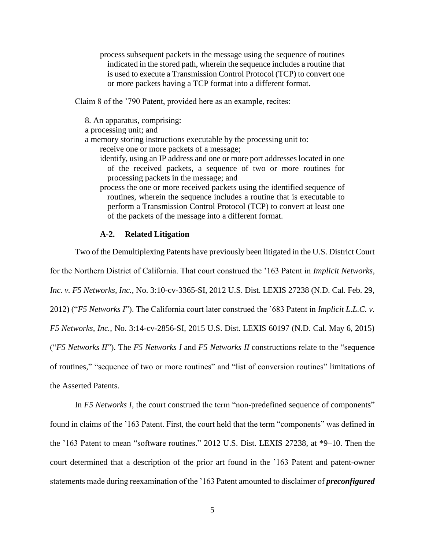process subsequent packets in the message using the sequence of routines indicated in the stored path, wherein the sequence includes a routine that is used to execute a Transmission Control Protocol (TCP) to convert one or more packets having a TCP format into a different format.

Claim 8 of the '790 Patent, provided here as an example, recites:

8. An apparatus, comprising:

a processing unit; and

a memory storing instructions executable by the processing unit to:

receive one or more packets of a message;

- identify, using an IP address and one or more port addresses located in one of the received packets, a sequence of two or more routines for processing packets in the message; and
- process the one or more received packets using the identified sequence of routines, wherein the sequence includes a routine that is executable to perform a Transmission Control Protocol (TCP) to convert at least one of the packets of the message into a different format.

# **A-2. Related Litigation**

<span id="page-4-0"></span>Two of the Demultiplexing Patents have previously been litigated in the U.S. District Court

for the Northern District of California. That court construed the '163 Patent in *Implicit Networks,* 

*Inc. v. F5 Networks, Inc.*, No. 3:10-cv-3365-SI, 2012 U.S. Dist. LEXIS 27238 (N.D. Cal. Feb. 29,

2012) ("*F5 Networks I*"). The California court later construed the '683 Patent in *Implicit L.L.C. v.* 

*F5 Networks, Inc.*, No. 3:14-cv-2856-SI, 2015 U.S. Dist. LEXIS 60197 (N.D. Cal. May 6, 2015)

("*F5 Networks II*"). The *F5 Networks I* and *F5 Networks II* constructions relate to the "sequence

of routines," "sequence of two or more routines" and "list of conversion routines" limitations of the Asserted Patents.

In *F5 Networks I*, the court construed the term "non-predefined sequence of components" found in claims of the '163 Patent. First, the court held that the term "components" was defined in the '163 Patent to mean "software routines." 2012 U.S. Dist. LEXIS 27238, at \*9–10. Then the court determined that a description of the prior art found in the '163 Patent and patent-owner statements made during reexamination of the '163 Patent amounted to disclaimer of *preconfigured*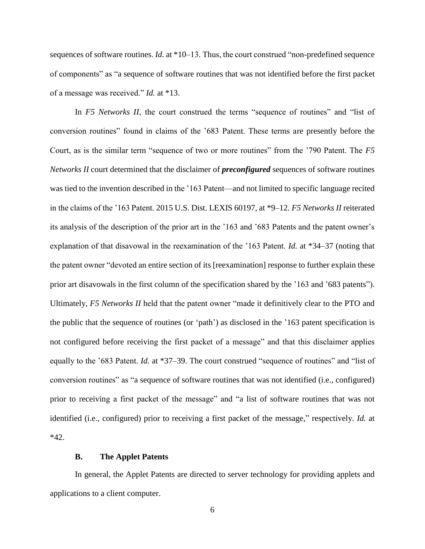sequences of software routines. *Id.* at \*10–13. Thus, the court construed "non-predefined sequence of components" as "a sequence of software routines that was not identified before the first packet of a message was received." *Id.* at \*13.

In *F5 Networks II*, the court construed the terms "sequence of routines" and "list of conversion routines" found in claims of the '683 Patent. These terms are presently before the Court, as is the similar term "sequence of two or more routines" from the '790 Patent. The *F5 Networks II* court determined that the disclaimer of *preconfigured* sequences of software routines was tied to the invention described in the '163 Patent—and not limited to specific language recited in the claims of the '163 Patent. 2015 U.S. Dist. LEXIS 60197, at \*9–12. *F5 Networks II* reiterated its analysis of the description of the prior art in the '163 and '683 Patents and the patent owner's explanation of that disavowal in the reexamination of the '163 Patent. *Id.* at \*34–37 (noting that the patent owner "devoted an entire section of its [reexamination] response to further explain these prior art disavowals in the first column of the specification shared by the '163 and '683 patents"). Ultimately, *F5 Networks II* held that the patent owner "made it definitively clear to the PTO and the public that the sequence of routines (or 'path') as disclosed in the '163 patent specification is not configured before receiving the first packet of a message" and that this disclaimer applies equally to the '683 Patent. *Id.* at \*37–39. The court construed "sequence of routines" and "list of conversion routines" as "a sequence of software routines that was not identified (i.e., configured) prior to receiving a first packet of the message" and "a list of software routines that was not identified (i.e., configured) prior to receiving a first packet of the message," respectively. *Id.* at \*42.

## **B. The Applet Patents**

<span id="page-5-0"></span>In general, the Applet Patents are directed to server technology for providing applets and applications to a client computer.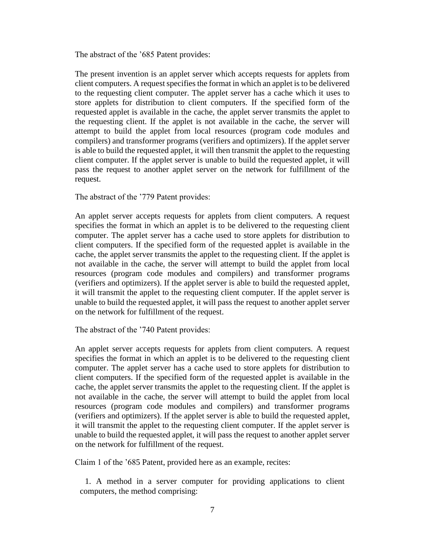The abstract of the '685 Patent provides:

The present invention is an applet server which accepts requests for applets from client computers. A request specifies the format in which an applet is to be delivered to the requesting client computer. The applet server has a cache which it uses to store applets for distribution to client computers. If the specified form of the requested applet is available in the cache, the applet server transmits the applet to the requesting client. If the applet is not available in the cache, the server will attempt to build the applet from local resources (program code modules and compilers) and transformer programs (verifiers and optimizers). If the applet server is able to build the requested applet, it will then transmit the applet to the requesting client computer. If the applet server is unable to build the requested applet, it will pass the request to another applet server on the network for fulfillment of the request.

The abstract of the '779 Patent provides:

An applet server accepts requests for applets from client computers. A request specifies the format in which an applet is to be delivered to the requesting client computer. The applet server has a cache used to store applets for distribution to client computers. If the specified form of the requested applet is available in the cache, the applet server transmits the applet to the requesting client. If the applet is not available in the cache, the server will attempt to build the applet from local resources (program code modules and compilers) and transformer programs (verifiers and optimizers). If the applet server is able to build the requested applet, it will transmit the applet to the requesting client computer. If the applet server is unable to build the requested applet, it will pass the request to another applet server on the network for fulfillment of the request.

The abstract of the '740 Patent provides:

An applet server accepts requests for applets from client computers. A request specifies the format in which an applet is to be delivered to the requesting client computer. The applet server has a cache used to store applets for distribution to client computers. If the specified form of the requested applet is available in the cache, the applet server transmits the applet to the requesting client. If the applet is not available in the cache, the server will attempt to build the applet from local resources (program code modules and compilers) and transformer programs (verifiers and optimizers). If the applet server is able to build the requested applet, it will transmit the applet to the requesting client computer. If the applet server is unable to build the requested applet, it will pass the request to another applet server on the network for fulfillment of the request.

Claim 1 of the '685 Patent, provided here as an example, recites:

1. A method in a server computer for providing applications to client computers, the method comprising: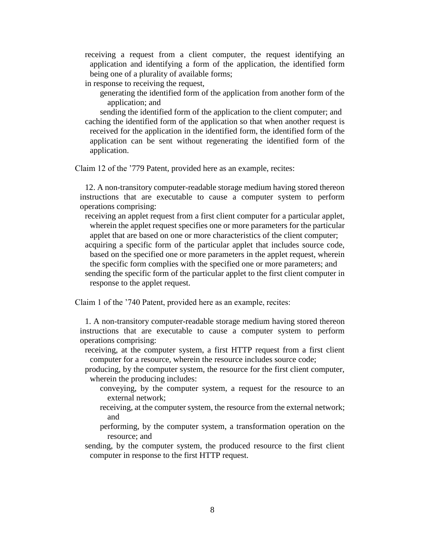receiving a request from a client computer, the request identifying an application and identifying a form of the application, the identified form being one of a plurality of available forms;

in response to receiving the request,

generating the identified form of the application from another form of the application; and

sending the identified form of the application to the client computer; and caching the identified form of the application so that when another request is received for the application in the identified form, the identified form of the application can be sent without regenerating the identified form of the application.

Claim 12 of the '779 Patent, provided here as an example, recites:

12. A non-transitory computer-readable storage medium having stored thereon instructions that are executable to cause a computer system to perform operations comprising:

receiving an applet request from a first client computer for a particular applet, wherein the applet request specifies one or more parameters for the particular applet that are based on one or more characteristics of the client computer;

- acquiring a specific form of the particular applet that includes source code, based on the specified one or more parameters in the applet request, wherein
- the specific form complies with the specified one or more parameters; and sending the specific form of the particular applet to the first client computer in

response to the applet request.

Claim 1 of the '740 Patent, provided here as an example, recites:

1. A non-transitory computer-readable storage medium having stored thereon instructions that are executable to cause a computer system to perform operations comprising:

- receiving, at the computer system, a first HTTP request from a first client computer for a resource, wherein the resource includes source code;
- producing, by the computer system, the resource for the first client computer, wherein the producing includes:
	- conveying, by the computer system, a request for the resource to an external network;
	- receiving, at the computer system, the resource from the external network; and
	- performing, by the computer system, a transformation operation on the resource; and
- sending, by the computer system, the produced resource to the first client computer in response to the first HTTP request.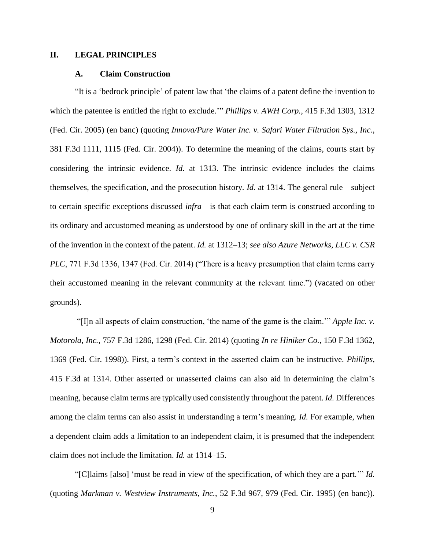# <span id="page-8-1"></span><span id="page-8-0"></span>**II. LEGAL PRINCIPLES**

#### **A. Claim Construction**

"It is a 'bedrock principle' of patent law that 'the claims of a patent define the invention to which the patentee is entitled the right to exclude.'" *Phillips v. AWH Corp.*, 415 F.3d 1303, 1312 (Fed. Cir. 2005) (en banc) (quoting *Innova/Pure Water Inc. v. Safari Water Filtration Sys., Inc.*, 381 F.3d 1111, 1115 (Fed. Cir. 2004)). To determine the meaning of the claims, courts start by considering the intrinsic evidence. *Id.* at 1313. The intrinsic evidence includes the claims themselves, the specification, and the prosecution history. *Id.* at 1314. The general rule—subject to certain specific exceptions discussed *infra*—is that each claim term is construed according to its ordinary and accustomed meaning as understood by one of ordinary skill in the art at the time of the invention in the context of the patent. *Id.* at 1312–13; *see also Azure Networks, LLC v. CSR PLC*, 771 F.3d 1336, 1347 (Fed. Cir. 2014) ("There is a heavy presumption that claim terms carry their accustomed meaning in the relevant community at the relevant time.") (vacated on other grounds).

"[I]n all aspects of claim construction, 'the name of the game is the claim.'" *Apple Inc. v. Motorola, Inc.*, 757 F.3d 1286, 1298 (Fed. Cir. 2014) (quoting *In re Hiniker Co.*, 150 F.3d 1362, 1369 (Fed. Cir. 1998)). First, a term's context in the asserted claim can be instructive. *Phillips*, 415 F.3d at 1314. Other asserted or unasserted claims can also aid in determining the claim's meaning, because claim terms are typically used consistently throughout the patent. *Id.* Differences among the claim terms can also assist in understanding a term's meaning. *Id.* For example, when a dependent claim adds a limitation to an independent claim, it is presumed that the independent claim does not include the limitation. *Id.* at 1314–15.

"[C]laims [also] 'must be read in view of the specification, of which they are a part.'" *Id.* (quoting *Markman v. Westview Instruments, Inc.*, 52 F.3d 967, 979 (Fed. Cir. 1995) (en banc)).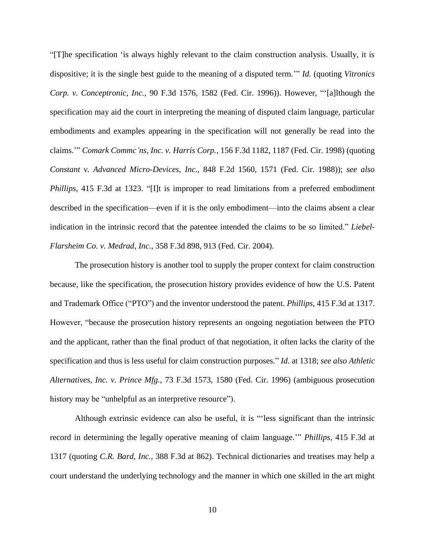"[T]he specification 'is always highly relevant to the claim construction analysis. Usually, it is dispositive; it is the single best guide to the meaning of a disputed term.'" *Id.* (quoting *Vitronics Corp. v. Conceptronic, Inc.*, 90 F.3d 1576, 1582 (Fed. Cir. 1996)). However, "'[a]lthough the specification may aid the court in interpreting the meaning of disputed claim language, particular embodiments and examples appearing in the specification will not generally be read into the claims.'" *Comark Commc'ns, Inc. v. Harris Corp.*, 156 F.3d 1182, 1187 (Fed. Cir. 1998) (quoting *Constant v. Advanced Micro-Devices, Inc.*, 848 F.2d 1560, 1571 (Fed. Cir. 1988)); *see also Phillips*, 415 F.3d at 1323. "[I]t is improper to read limitations from a preferred embodiment described in the specification—even if it is the only embodiment—into the claims absent a clear indication in the intrinsic record that the patentee intended the claims to be so limited." *Liebel-Flarsheim Co. v. Medrad, Inc.*, 358 F.3d 898, 913 (Fed. Cir. 2004).

The prosecution history is another tool to supply the proper context for claim construction because, like the specification, the prosecution history provides evidence of how the U.S. Patent and Trademark Office ("PTO") and the inventor understood the patent. *Phillips*, 415 F.3d at 1317. However, "because the prosecution history represents an ongoing negotiation between the PTO and the applicant, rather than the final product of that negotiation, it often lacks the clarity of the specification and thus is less useful for claim construction purposes." *Id.* at 1318; *see also Athletic Alternatives, Inc. v. Prince Mfg.*, 73 F.3d 1573, 1580 (Fed. Cir. 1996) (ambiguous prosecution history may be "unhelpful as an interpretive resource").

Although extrinsic evidence can also be useful, it is "'less significant than the intrinsic record in determining the legally operative meaning of claim language.'" *Phillips*, 415 F.3d at 1317 (quoting *C.R. Bard, Inc.*, 388 F.3d at 862). Technical dictionaries and treatises may help a court understand the underlying technology and the manner in which one skilled in the art might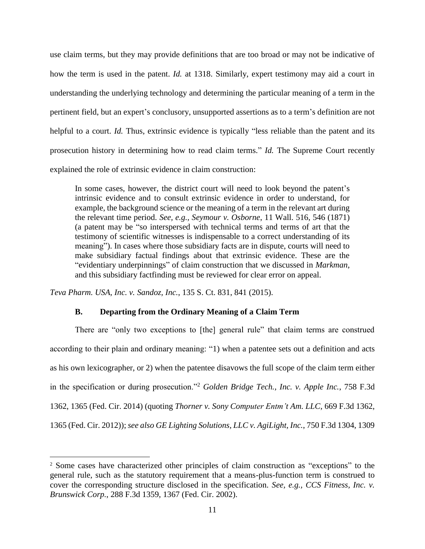use claim terms, but they may provide definitions that are too broad or may not be indicative of how the term is used in the patent. *Id.* at 1318. Similarly, expert testimony may aid a court in understanding the underlying technology and determining the particular meaning of a term in the pertinent field, but an expert's conclusory, unsupported assertions as to a term's definition are not helpful to a court. *Id*. Thus, extrinsic evidence is typically "less reliable than the patent and its prosecution history in determining how to read claim terms." *Id.* The Supreme Court recently explained the role of extrinsic evidence in claim construction:

In some cases, however, the district court will need to look beyond the patent's intrinsic evidence and to consult extrinsic evidence in order to understand, for example, the background science or the meaning of a term in the relevant art during the relevant time period. *See, e.g., Seymour v. Osborne*, 11 Wall. 516, 546 (1871) (a patent may be "so interspersed with technical terms and terms of art that the testimony of scientific witnesses is indispensable to a correct understanding of its meaning"). In cases where those subsidiary facts are in dispute, courts will need to make subsidiary factual findings about that extrinsic evidence. These are the "evidentiary underpinnings" of claim construction that we discussed in *Markman*, and this subsidiary factfinding must be reviewed for clear error on appeal.

<span id="page-10-0"></span>*Teva Pharm. USA, Inc. v. Sandoz, Inc.*, 135 S. Ct. 831, 841 (2015).

 $\overline{a}$ 

# **B. Departing from the Ordinary Meaning of a Claim Term**

There are "only two exceptions to [the] general rule" that claim terms are construed according to their plain and ordinary meaning: "1) when a patentee sets out a definition and acts as his own lexicographer, or 2) when the patentee disavows the full scope of the claim term either in the specification or during prosecution."<sup>2</sup> *Golden Bridge Tech., Inc. v. Apple Inc.*, 758 F.3d 1362, 1365 (Fed. Cir. 2014) (quoting *Thorner v. Sony Computer Entm't Am. LLC*, 669 F.3d 1362, 1365 (Fed. Cir. 2012)); *see also GE Lighting Solutions, LLC v. AgiLight, Inc.*, 750 F.3d 1304, 1309

<sup>2</sup> Some cases have characterized other principles of claim construction as "exceptions" to the general rule, such as the statutory requirement that a means-plus-function term is construed to cover the corresponding structure disclosed in the specification. *See, e.g., CCS Fitness, Inc. v. Brunswick Corp.*, 288 F.3d 1359, 1367 (Fed. Cir. 2002).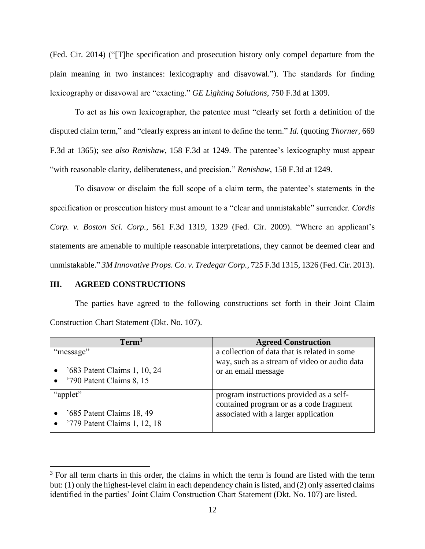(Fed. Cir. 2014) ("[T]he specification and prosecution history only compel departure from the plain meaning in two instances: lexicography and disavowal."). The standards for finding lexicography or disavowal are "exacting." *GE Lighting Solutions*, 750 F.3d at 1309.

To act as his own lexicographer, the patentee must "clearly set forth a definition of the disputed claim term," and "clearly express an intent to define the term." *Id.* (quoting *Thorner*, 669 F.3d at 1365); *see also Renishaw*, 158 F.3d at 1249. The patentee's lexicography must appear "with reasonable clarity, deliberateness, and precision." *Renishaw*, 158 F.3d at 1249*.*

To disavow or disclaim the full scope of a claim term, the patentee's statements in the specification or prosecution history must amount to a "clear and unmistakable" surrender. *Cordis Corp. v. Boston Sci. Corp.*, 561 F.3d 1319, 1329 (Fed. Cir. 2009). "Where an applicant's statements are amenable to multiple reasonable interpretations, they cannot be deemed clear and unmistakable." *3M Innovative Props. Co. v. Tredegar Corp.*, 725 F.3d 1315, 1326 (Fed. Cir. 2013).

#### <span id="page-11-0"></span>**III. AGREED CONSTRUCTIONS**

 $\overline{a}$ 

The parties have agreed to the following constructions set forth in their Joint Claim Construction Chart Statement (Dkt. No. 107).

| Term <sup>3</sup>            | <b>Agreed Construction</b>                   |
|------------------------------|----------------------------------------------|
| "message"                    | a collection of data that is related in some |
|                              | way, such as a stream of video or audio data |
| '683 Patent Claims 1, 10, 24 | or an email message                          |
| '790 Patent Claims 8, 15     |                                              |
| "applet"                     | program instructions provided as a self-     |
|                              | contained program or as a code fragment      |
| '685 Patent Claims 18, 49    | associated with a larger application         |
| '779 Patent Claims 1, 12, 18 |                                              |

 $3$  For all term charts in this order, the claims in which the term is found are listed with the term but: (1) only the highest-level claim in each dependency chain is listed, and (2) only asserted claims identified in the parties' Joint Claim Construction Chart Statement (Dkt. No. 107) are listed.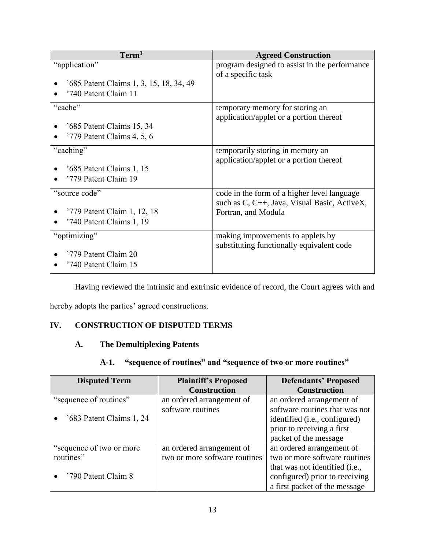| Term <sup>3</sup>                                                                | <b>Agreed Construction</b>                                                                                         |  |
|----------------------------------------------------------------------------------|--------------------------------------------------------------------------------------------------------------------|--|
| "application"<br>'685 Patent Claims 1, 3, 15, 18, 34, 49<br>'740 Patent Claim 11 | program designed to assist in the performance<br>of a specific task                                                |  |
| "cache"<br>'685 Patent Claims 15, 34<br>'779 Patent Claims 4, 5, 6               | temporary memory for storing an<br>application/applet or a portion thereof                                         |  |
| "caching"<br>'685 Patent Claims 1, 15<br>'779 Patent Claim 19                    | temporarily storing in memory an<br>application/applet or a portion thereof                                        |  |
| "source code"<br>'779 Patent Claim 1, 12, 18<br>'740 Patent Claims 1, 19         | code in the form of a higher level language<br>such as C, C++, Java, Visual Basic, ActiveX,<br>Fortran, and Modula |  |
| "optimizing"<br>'779 Patent Claim 20<br>'740 Patent Claim 15                     | making improvements to applets by<br>substituting functionally equivalent code                                     |  |

Having reviewed the intrinsic and extrinsic evidence of record, the Court agrees with and

hereby adopts the parties' agreed constructions.

# <span id="page-12-1"></span><span id="page-12-0"></span>**IV. CONSTRUCTION OF DISPUTED TERMS**

# **A. The Demultiplexing Patents**

# **A-1. "sequence of routines" and "sequence of two or more routines"**

<span id="page-12-2"></span>

| <b>Disputed Term</b>      | <b>Plaintiff's Proposed</b>   | <b>Defendants' Proposed</b>            |
|---------------------------|-------------------------------|----------------------------------------|
|                           | <b>Construction</b>           | <b>Construction</b>                    |
| "sequence of routines"    | an ordered arrangement of     | an ordered arrangement of              |
|                           | software routines             | software routines that was not         |
| '683 Patent Claims 1, 24  |                               | identified ( <i>i.e.</i> , configured) |
|                           |                               | prior to receiving a first             |
|                           |                               | packet of the message                  |
| "sequence of two or more" | an ordered arrangement of     | an ordered arrangement of              |
| routines"                 | two or more software routines | two or more software routines          |
|                           |                               | that was not identified (i.e.,         |
| '790 Patent Claim 8       |                               | configured) prior to receiving         |
|                           |                               | a first packet of the message          |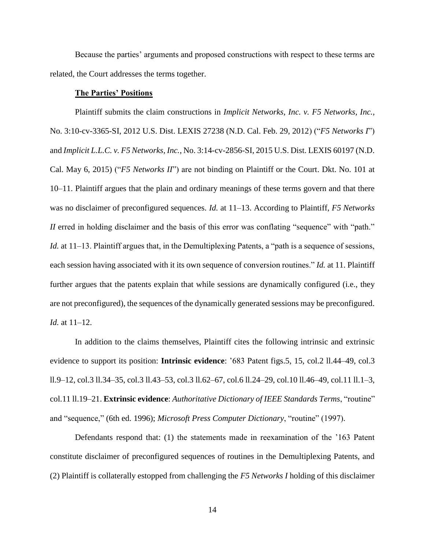Because the parties' arguments and proposed constructions with respect to these terms are related, the Court addresses the terms together.

## **The Parties' Positions**

Plaintiff submits the claim constructions in *Implicit Networks, Inc. v. F5 Networks, Inc.*, No. 3:10-cv-3365-SI, 2012 U.S. Dist. LEXIS 27238 (N.D. Cal. Feb. 29, 2012) ("*F5 Networks I*") and *Implicit L.L.C. v. F5 Networks, Inc.*, No. 3:14-cv-2856-SI, 2015 U.S. Dist. LEXIS 60197 (N.D. Cal. May 6, 2015) ("*F5 Networks II*") are not binding on Plaintiff or the Court. Dkt. No. 101 at 10–11. Plaintiff argues that the plain and ordinary meanings of these terms govern and that there was no disclaimer of preconfigured sequences. *Id.* at 11–13. According to Plaintiff, *F5 Networks II* erred in holding disclaimer and the basis of this error was conflating "sequence" with "path." *Id.* at 11–13. Plaintiff argues that, in the Demultiplexing Patents, a "path is a sequence of sessions, each session having associated with it its own sequence of conversion routines." *Id.* at 11. Plaintiff further argues that the patents explain that while sessions are dynamically configured (i.e., they are not preconfigured), the sequences of the dynamically generated sessions may be preconfigured. *Id.* at 11–12.

In addition to the claims themselves, Plaintiff cites the following intrinsic and extrinsic evidence to support its position: **Intrinsic evidence**: '683 Patent figs.5, 15, col.2 ll.44–49, col.3 ll.9–12, col.3 ll.34–35, col.3 ll.43–53, col.3 ll.62–67, col.6 ll.24–29, col.10 ll.46–49, col.11 ll.1–3, col.11 ll.19–21. **Extrinsic evidence**: *Authoritative Dictionary of IEEE Standards Terms*, "routine" and "sequence," (6th ed. 1996); *Microsoft Press Computer Dictionary*, "routine" (1997).

Defendants respond that: (1) the statements made in reexamination of the '163 Patent constitute disclaimer of preconfigured sequences of routines in the Demultiplexing Patents, and (2) Plaintiff is collaterally estopped from challenging the *F5 Networks I* holding of this disclaimer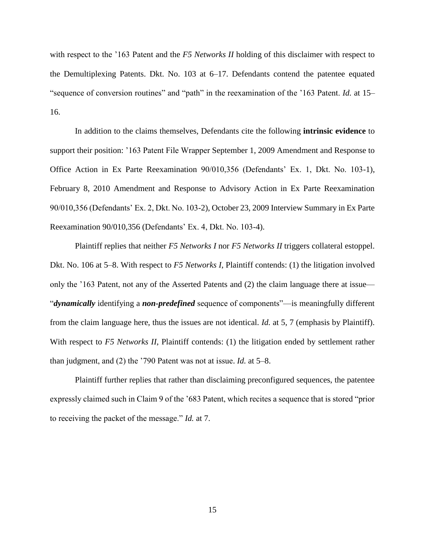with respect to the '163 Patent and the *F5 Networks II* holding of this disclaimer with respect to the Demultiplexing Patents. Dkt. No. 103 at 6–17. Defendants contend the patentee equated "sequence of conversion routines" and "path" in the reexamination of the '163 Patent. *Id.* at 15– 16.

In addition to the claims themselves, Defendants cite the following **intrinsic evidence** to support their position: '163 Patent File Wrapper September 1, 2009 Amendment and Response to Office Action in Ex Parte Reexamination 90/010,356 (Defendants' Ex. 1, Dkt. No. 103-1), February 8, 2010 Amendment and Response to Advisory Action in Ex Parte Reexamination 90/010,356 (Defendants' Ex. 2, Dkt. No. 103-2), October 23, 2009 Interview Summary in Ex Parte Reexamination 90/010,356 (Defendants' Ex. 4, Dkt. No. 103-4).

Plaintiff replies that neither *F5 Networks I* nor *F5 Networks II* triggers collateral estoppel. Dkt. No. 106 at 5–8. With respect to *F5 Networks I*, Plaintiff contends: (1) the litigation involved only the '163 Patent, not any of the Asserted Patents and (2) the claim language there at issue— "*dynamically* identifying a *non-predefined* sequence of components"—is meaningfully different from the claim language here, thus the issues are not identical. *Id.* at 5, 7 (emphasis by Plaintiff). With respect to *F5 Networks II*, Plaintiff contends: (1) the litigation ended by settlement rather than judgment, and (2) the '790 Patent was not at issue. *Id.* at 5–8.

Plaintiff further replies that rather than disclaiming preconfigured sequences, the patentee expressly claimed such in Claim 9 of the '683 Patent, which recites a sequence that is stored "prior to receiving the packet of the message." *Id.* at 7.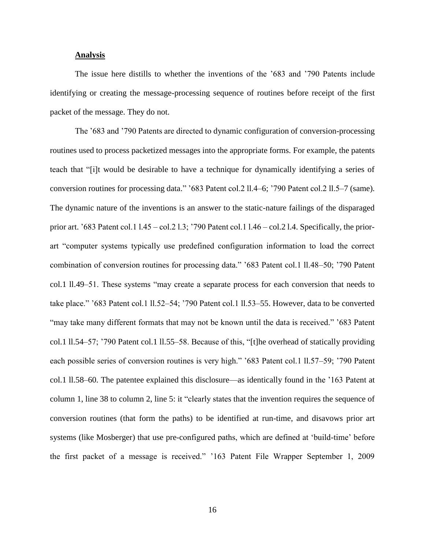#### **Analysis**

The issue here distills to whether the inventions of the '683 and '790 Patents include identifying or creating the message-processing sequence of routines before receipt of the first packet of the message. They do not.

The '683 and '790 Patents are directed to dynamic configuration of conversion-processing routines used to process packetized messages into the appropriate forms. For example, the patents teach that "[i]t would be desirable to have a technique for dynamically identifying a series of conversion routines for processing data." '683 Patent col.2 ll.4–6; '790 Patent col.2 ll.5–7 (same). The dynamic nature of the inventions is an answer to the static-nature failings of the disparaged prior art. '683 Patent col.1 l.45 – col.2 l.3; '790 Patent col.1 l.46 – col.2 l.4. Specifically, the priorart "computer systems typically use predefined configuration information to load the correct combination of conversion routines for processing data." '683 Patent col.1 ll.48–50; '790 Patent col.1 ll.49–51. These systems "may create a separate process for each conversion that needs to take place." '683 Patent col.1 ll.52–54; '790 Patent col.1 ll.53–55. However, data to be converted "may take many different formats that may not be known until the data is received." '683 Patent col.1 ll.54–57; '790 Patent col.1 ll.55–58. Because of this, "[t]he overhead of statically providing each possible series of conversion routines is very high." '683 Patent col.1 ll.57–59; '790 Patent col.1 ll.58–60. The patentee explained this disclosure—as identically found in the '163 Patent at column 1, line 38 to column 2, line 5: it "clearly states that the invention requires the sequence of conversion routines (that form the paths) to be identified at run-time, and disavows prior art systems (like Mosberger) that use pre-configured paths, which are defined at 'build-time' before the first packet of a message is received." '163 Patent File Wrapper September 1, 2009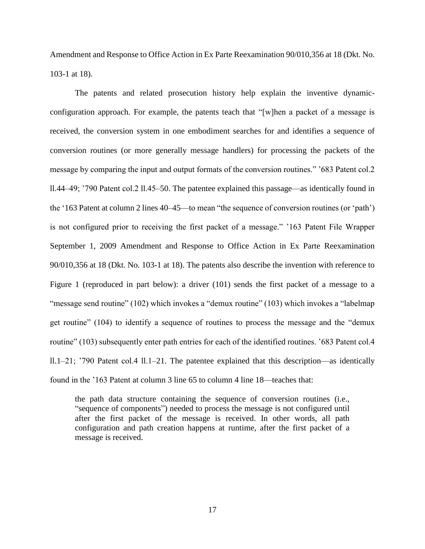Amendment and Response to Office Action in Ex Parte Reexamination 90/010,356 at 18 (Dkt. No. 103-1 at 18).

The patents and related prosecution history help explain the inventive dynamicconfiguration approach. For example, the patents teach that "[w]hen a packet of a message is received, the conversion system in one embodiment searches for and identifies a sequence of conversion routines (or more generally message handlers) for processing the packets of the message by comparing the input and output formats of the conversion routines." '683 Patent col.2 ll.44–49; '790 Patent col.2 ll.45–50. The patentee explained this passage—as identically found in the '163 Patent at column 2 lines 40–45—to mean "the sequence of conversion routines (or 'path') is not configured prior to receiving the first packet of a message." '163 Patent File Wrapper September 1, 2009 Amendment and Response to Office Action in Ex Parte Reexamination 90/010,356 at 18 (Dkt. No. 103-1 at 18). The patents also describe the invention with reference to Figure 1 (reproduced in part below): a driver (101) sends the first packet of a message to a "message send routine" (102) which invokes a "demux routine" (103) which invokes a "labelmap get routine" (104) to identify a sequence of routines to process the message and the "demux routine" (103) subsequently enter path entries for each of the identified routines. '683 Patent col.4 ll.1–21; '790 Patent col.4 ll.1–21. The patentee explained that this description—as identically found in the '163 Patent at column 3 line 65 to column 4 line 18—teaches that:

the path data structure containing the sequence of conversion routines (i.e., "sequence of components") needed to process the message is not configured until after the first packet of the message is received. In other words, all path configuration and path creation happens at runtime, after the first packet of a message is received.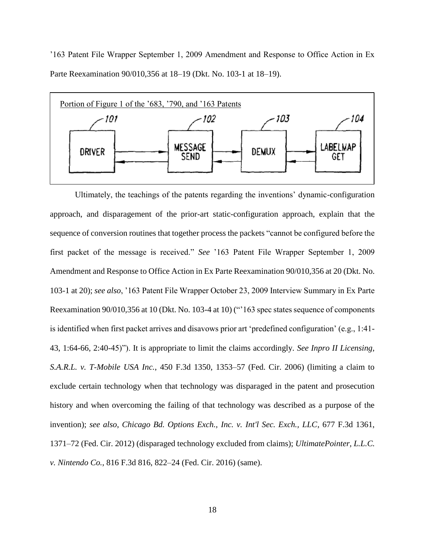'163 Patent File Wrapper September 1, 2009 Amendment and Response to Office Action in Ex Parte Reexamination 90/010,356 at 18–19 (Dkt. No. 103-1 at 18–19).



Ultimately, the teachings of the patents regarding the inventions' dynamic-configuration approach, and disparagement of the prior-art static-configuration approach, explain that the sequence of conversion routines that together process the packets "cannot be configured before the first packet of the message is received." *See* '163 Patent File Wrapper September 1, 2009 Amendment and Response to Office Action in Ex Parte Reexamination 90/010,356 at 20 (Dkt. No. 103-1 at 20); *see also*, '163 Patent File Wrapper October 23, 2009 Interview Summary in Ex Parte Reexamination 90/010,356 at 10 (Dkt. No. 103-4 at 10) ("'163 spec states sequence of components is identified when first packet arrives and disavows prior art 'predefined configuration' (e.g., 1:41- 43, 1:64-66, 2:40-45)"). It is appropriate to limit the claims accordingly. *See Inpro II Licensing, S.A.R.L. v. T-Mobile USA Inc.*, 450 F.3d 1350, 1353–57 (Fed. Cir. 2006) (limiting a claim to exclude certain technology when that technology was disparaged in the patent and prosecution history and when overcoming the failing of that technology was described as a purpose of the invention); *see also*, *Chicago Bd. Options Exch., Inc. v. Int'l Sec. Exch., LLC*, 677 F.3d 1361, 1371–72 (Fed. Cir. 2012) (disparaged technology excluded from claims); *UltimatePointer, L.L.C. v. Nintendo Co.*, 816 F.3d 816, 822–24 (Fed. Cir. 2016) (same).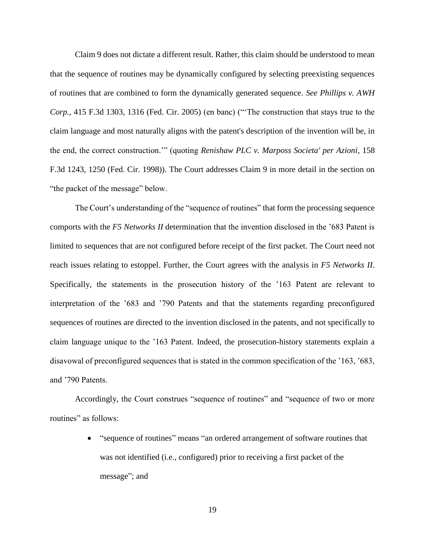Claim 9 does not dictate a different result. Rather, this claim should be understood to mean that the sequence of routines may be dynamically configured by selecting preexisting sequences of routines that are combined to form the dynamically generated sequence. *See Phillips v. AWH Corp.*, 415 F.3d 1303, 1316 (Fed. Cir. 2005) (en banc) ("'The construction that stays true to the claim language and most naturally aligns with the patent's description of the invention will be, in the end, the correct construction.'" (quoting *Renishaw PLC v. Marposs Societa' per Azioni*, 158 F.3d 1243, 1250 (Fed. Cir. 1998)). The Court addresses Claim 9 in more detail in the section on "the packet of the message" below.

The Court's understanding of the "sequence of routines" that form the processing sequence comports with the *F5 Networks II* determination that the invention disclosed in the '683 Patent is limited to sequences that are not configured before receipt of the first packet. The Court need not reach issues relating to estoppel. Further, the Court agrees with the analysis in *F5 Networks II*. Specifically, the statements in the prosecution history of the '163 Patent are relevant to interpretation of the '683 and '790 Patents and that the statements regarding preconfigured sequences of routines are directed to the invention disclosed in the patents, and not specifically to claim language unique to the '163 Patent. Indeed, the prosecution-history statements explain a disavowal of preconfigured sequences that is stated in the common specification of the '163, '683, and '790 Patents.

Accordingly, the Court construes "sequence of routines" and "sequence of two or more routines" as follows:

> • "sequence of routines" means "an ordered arrangement of software routines that was not identified (i.e., configured) prior to receiving a first packet of the message"; and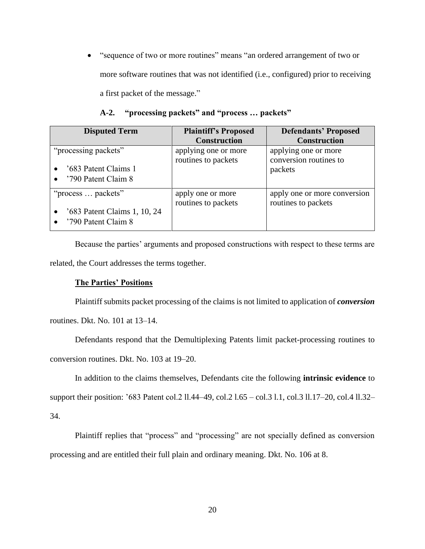"sequence of two or more routines" means "an ordered arrangement of two or more software routines that was not identified (i.e., configured) prior to receiving a first packet of the message."

<span id="page-19-0"></span>

| <b>Disputed Term</b>                                                      | <b>Plaintiff's Proposed</b><br><b>Construction</b> | <b>Defendants' Proposed</b><br><b>Construction</b>        |
|---------------------------------------------------------------------------|----------------------------------------------------|-----------------------------------------------------------|
| "processing packets"<br>'683 Patent Claims 1<br>'790 Patent Claim 8       | applying one or more<br>routines to packets        | applying one or more<br>conversion routines to<br>packets |
| "process  packets"<br>'683 Patent Claims 1, 10, 24<br>'790 Patent Claim 8 | apply one or more<br>routines to packets           | apply one or more conversion<br>routines to packets       |

# **A-2. "processing packets" and "process … packets"**

Because the parties' arguments and proposed constructions with respect to these terms are related, the Court addresses the terms together.

# **The Parties' Positions**

Plaintiff submits packet processing of the claims is not limited to application of *conversion* routines. Dkt. No. 101 at 13–14.

Defendants respond that the Demultiplexing Patents limit packet-processing routines to conversion routines. Dkt. No. 103 at 19–20.

In addition to the claims themselves, Defendants cite the following **intrinsic evidence** to

support their position: '683 Patent col.2 ll.44–49, col.2 l.65 – col.3 l.1, col.3 ll.17–20, col.4 ll.32–

34.

Plaintiff replies that "process" and "processing" are not specially defined as conversion processing and are entitled their full plain and ordinary meaning. Dkt. No. 106 at 8.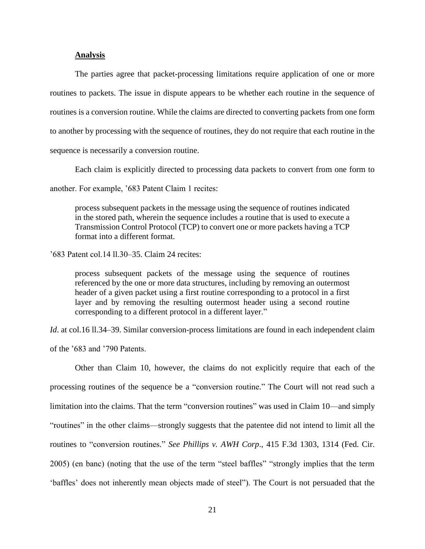# **Analysis**

The parties agree that packet-processing limitations require application of one or more routines to packets. The issue in dispute appears to be whether each routine in the sequence of routines is a conversion routine. While the claims are directed to converting packets from one form to another by processing with the sequence of routines, they do not require that each routine in the sequence is necessarily a conversion routine.

Each claim is explicitly directed to processing data packets to convert from one form to

another. For example, '683 Patent Claim 1 recites:

process subsequent packets in the message using the sequence of routines indicated in the stored path, wherein the sequence includes a routine that is used to execute a Transmission Control Protocol (TCP) to convert one or more packets having a TCP format into a different format.

'683 Patent col.14 ll.30–35. Claim 24 recites:

process subsequent packets of the message using the sequence of routines referenced by the one or more data structures, including by removing an outermost header of a given packet using a first routine corresponding to a protocol in a first layer and by removing the resulting outermost header using a second routine corresponding to a different protocol in a different layer."

*Id.* at col.16 ll.34–39. Similar conversion-process limitations are found in each independent claim of the '683 and '790 Patents.

Other than Claim 10, however, the claims do not explicitly require that each of the processing routines of the sequence be a "conversion routine." The Court will not read such a limitation into the claims. That the term "conversion routines" was used in Claim 10—and simply "routines" in the other claims—strongly suggests that the patentee did not intend to limit all the routines to "conversion routines." *See Phillips v. AWH Corp*., 415 F.3d 1303, 1314 (Fed. Cir. 2005) (en banc) (noting that the use of the term "steel baffles" "strongly implies that the term 'baffles' does not inherently mean objects made of steel"). The Court is not persuaded that the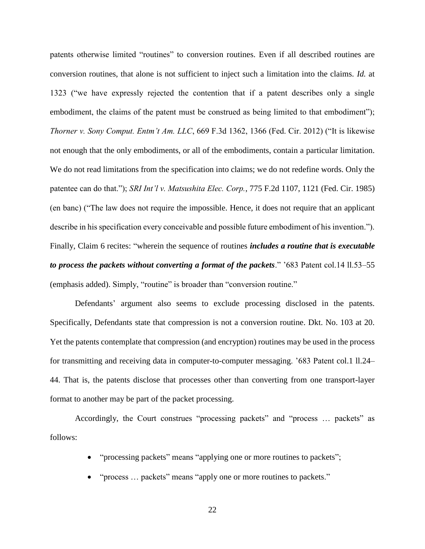patents otherwise limited "routines" to conversion routines. Even if all described routines are conversion routines, that alone is not sufficient to inject such a limitation into the claims. *Id.* at 1323 ("we have expressly rejected the contention that if a patent describes only a single embodiment, the claims of the patent must be construed as being limited to that embodiment"); *Thorner v. Sony Comput. Entm't Am. LLC*, 669 F.3d 1362, 1366 (Fed. Cir. 2012) ("It is likewise not enough that the only embodiments, or all of the embodiments, contain a particular limitation. We do not read limitations from the specification into claims; we do not redefine words. Only the patentee can do that."); *SRI Int'l v. Matsushita Elec. Corp.*, 775 F.2d 1107, 1121 (Fed. Cir. 1985) (en banc) ("The law does not require the impossible. Hence, it does not require that an applicant describe in his specification every conceivable and possible future embodiment of his invention."). Finally, Claim 6 recites: "wherein the sequence of routines *includes a routine that is executable to process the packets without converting a format of the packets*." '683 Patent col.14 ll.53–55 (emphasis added). Simply, "routine" is broader than "conversion routine."

Defendants' argument also seems to exclude processing disclosed in the patents. Specifically, Defendants state that compression is not a conversion routine. Dkt. No. 103 at 20. Yet the patents contemplate that compression (and encryption) routines may be used in the process for transmitting and receiving data in computer-to-computer messaging. '683 Patent col.1 ll.24– 44. That is, the patents disclose that processes other than converting from one transport-layer format to another may be part of the packet processing.

Accordingly, the Court construes "processing packets" and "process … packets" as follows:

- "processing packets" means "applying one or more routines to packets";
- "process ... packets" means "apply one or more routines to packets."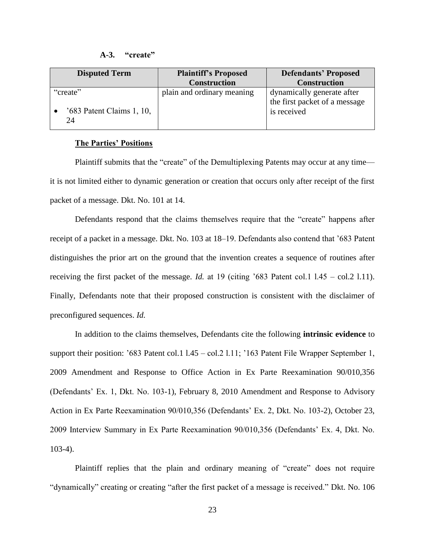#### **A-3. "create"**

<span id="page-22-0"></span>

| <b>Disputed Term</b>                          | <b>Plaintiff's Proposed</b> | <b>Defendants' Proposed</b>                                                |  |
|-----------------------------------------------|-----------------------------|----------------------------------------------------------------------------|--|
|                                               | <b>Construction</b>         | <b>Construction</b>                                                        |  |
| "create"<br>$'683$ Patent Claims 1, 10,<br>24 | plain and ordinary meaning  | dynamically generate after<br>the first packet of a message<br>is received |  |

#### **The Parties' Positions**

Plaintiff submits that the "create" of the Demultiplexing Patents may occur at any time it is not limited either to dynamic generation or creation that occurs only after receipt of the first packet of a message. Dkt. No. 101 at 14.

Defendants respond that the claims themselves require that the "create" happens after receipt of a packet in a message. Dkt. No. 103 at 18–19. Defendants also contend that '683 Patent distinguishes the prior art on the ground that the invention creates a sequence of routines after receiving the first packet of the message. *Id.* at 19 (citing '683 Patent col.1 l.45 – col.2 l.11). Finally, Defendants note that their proposed construction is consistent with the disclaimer of preconfigured sequences. *Id.*

In addition to the claims themselves, Defendants cite the following **intrinsic evidence** to support their position: '683 Patent col.1 l.45 – col.2 l.11; '163 Patent File Wrapper September 1, 2009 Amendment and Response to Office Action in Ex Parte Reexamination 90/010,356 (Defendants' Ex. 1, Dkt. No. 103-1), February 8, 2010 Amendment and Response to Advisory Action in Ex Parte Reexamination 90/010,356 (Defendants' Ex. 2, Dkt. No. 103-2), October 23, 2009 Interview Summary in Ex Parte Reexamination 90/010,356 (Defendants' Ex. 4, Dkt. No. 103-4).

Plaintiff replies that the plain and ordinary meaning of "create" does not require "dynamically" creating or creating "after the first packet of a message is received." Dkt. No. 106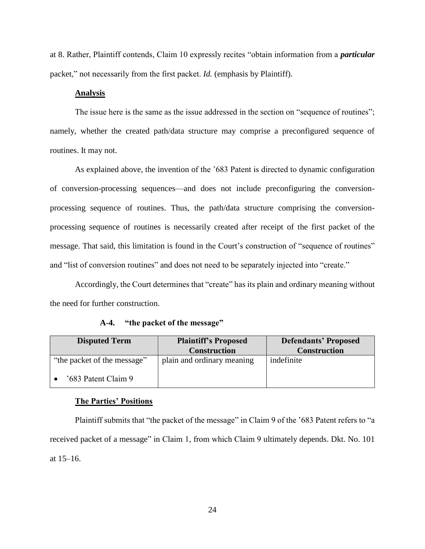at 8. Rather, Plaintiff contends, Claim 10 expressly recites "obtain information from a *particular*  packet," not necessarily from the first packet. *Id.* (emphasis by Plaintiff).

# **Analysis**

The issue here is the same as the issue addressed in the section on "sequence of routines"; namely, whether the created path/data structure may comprise a preconfigured sequence of routines. It may not.

As explained above, the invention of the '683 Patent is directed to dynamic configuration of conversion-processing sequences—and does not include preconfiguring the conversionprocessing sequence of routines. Thus, the path/data structure comprising the conversionprocessing sequence of routines is necessarily created after receipt of the first packet of the message. That said, this limitation is found in the Court's construction of "sequence of routines" and "list of conversion routines" and does not need to be separately injected into "create."

Accordingly, the Court determines that "create" has its plain and ordinary meaning without the need for further construction.

# **A-4. "the packet of the message"**

<span id="page-23-0"></span>

| <b>Disputed Term</b>        | <b>Plaintiff's Proposed</b> | <b>Defendants' Proposed</b> |
|-----------------------------|-----------------------------|-----------------------------|
|                             | <b>Construction</b>         | <b>Construction</b>         |
| "the packet of the message" | plain and ordinary meaning  | indefinite                  |
| '683 Patent Claim 9         |                             |                             |

#### **The Parties' Positions**

Plaintiff submits that "the packet of the message" in Claim 9 of the '683 Patent refers to "a received packet of a message" in Claim 1, from which Claim 9 ultimately depends. Dkt. No. 101 at 15–16.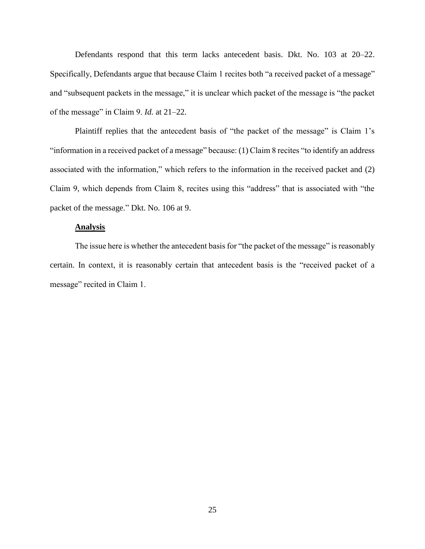Defendants respond that this term lacks antecedent basis. Dkt. No. 103 at 20–22. Specifically, Defendants argue that because Claim 1 recites both "a received packet of a message" and "subsequent packets in the message," it is unclear which packet of the message is "the packet of the message" in Claim 9. *Id.* at 21–22.

Plaintiff replies that the antecedent basis of "the packet of the message" is Claim 1's "information in a received packet of a message" because: (1) Claim 8 recites "to identify an address associated with the information," which refers to the information in the received packet and (2) Claim 9, which depends from Claim 8, recites using this "address" that is associated with "the packet of the message." Dkt. No. 106 at 9.

## **Analysis**

The issue here is whether the antecedent basis for "the packet of the message" is reasonably certain. In context, it is reasonably certain that antecedent basis is the "received packet of a message" recited in Claim 1.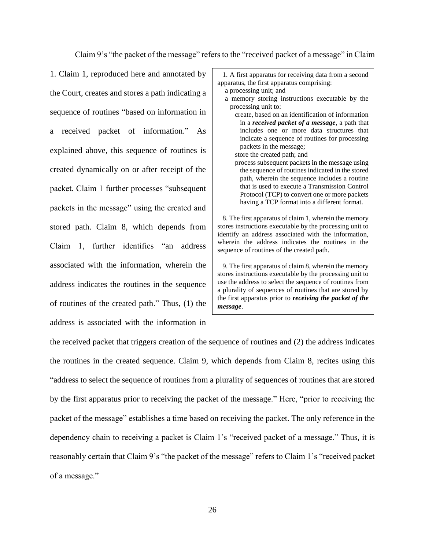Claim 9's "the packet of the message" refers to the "received packet of a message" in Claim

1. Claim 1, reproduced here and annotated by the Court, creates and stores a path indicating a sequence of routines "based on information in a received packet of information." As explained above, this sequence of routines is created dynamically on or after receipt of the packet. Claim 1 further processes "subsequent packets in the message" using the created and stored path. Claim 8, which depends from Claim 1, further identifies "an address associated with the information, wherein the address indicates the routines in the sequence of routines of the created path." Thus, (1) the address is associated with the information in

1. A first apparatus for receiving data from a second apparatus, the first apparatus comprising: a processing unit; and a memory storing instructions executable by the processing unit to: create, based on an identification of information in a *received packet of a message*, a path that includes one or more data structures that indicate a sequence of routines for processing packets in the message; store the created path; and process subsequent packets in the message using the sequence of routines indicated in the stored path, wherein the sequence includes a routine that is used to execute a Transmission Control Protocol (TCP) to convert one or more packets having a TCP format into a different format. 8. The first apparatus of claim 1, wherein the memory stores instructions executable by the processing unit to identify an address associated with the information, wherein the address indicates the routines in the sequence of routines of the created path. 9. The first apparatus of claim 8, wherein the memory stores instructions executable by the processing unit to use the address to select the sequence of routines from

a plurality of sequences of routines that are stored by the first apparatus prior to *receiving the packet of the message*.

the received packet that triggers creation of the sequence of routines and (2) the address indicates the routines in the created sequence. Claim 9, which depends from Claim 8, recites using this "address to select the sequence of routines from a plurality of sequences of routines that are stored by the first apparatus prior to receiving the packet of the message." Here, "prior to receiving the packet of the message" establishes a time based on receiving the packet. The only reference in the dependency chain to receiving a packet is Claim 1's "received packet of a message." Thus, it is reasonably certain that Claim 9's "the packet of the message" refers to Claim 1's "received packet of a message."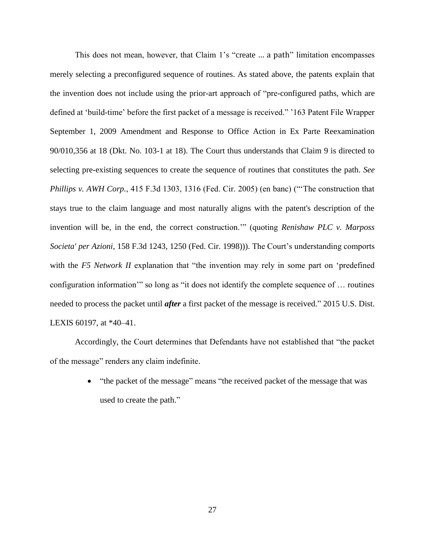This does not mean, however, that Claim 1's "create … a path" limitation encompasses merely selecting a preconfigured sequence of routines. As stated above, the patents explain that the invention does not include using the prior-art approach of "pre-configured paths, which are defined at 'build-time' before the first packet of a message is received." '163 Patent File Wrapper September 1, 2009 Amendment and Response to Office Action in Ex Parte Reexamination 90/010,356 at 18 (Dkt. No. 103-1 at 18). The Court thus understands that Claim 9 is directed to selecting pre-existing sequences to create the sequence of routines that constitutes the path. *See Phillips v. AWH Corp.*, 415 F.3d 1303, 1316 (Fed. Cir. 2005) (en banc) ("'The construction that stays true to the claim language and most naturally aligns with the patent's description of the invention will be, in the end, the correct construction.'" (quoting *Renishaw PLC v. Marposs Societa' per Azioni*, 158 F.3d 1243, 1250 (Fed. Cir. 1998))). The Court's understanding comports with the *F5 Network II* explanation that "the invention may rely in some part on 'predefined configuration information'" so long as "it does not identify the complete sequence of … routines needed to process the packet until *after* a first packet of the message is received." 2015 U.S. Dist. LEXIS 60197, at \*40–41.

Accordingly, the Court determines that Defendants have not established that "the packet of the message" renders any claim indefinite.

> • "the packet of the message" means "the received packet of the message that was used to create the path."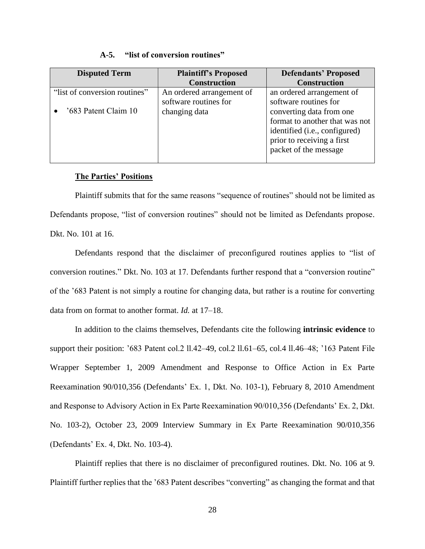| $A-5.$<br>"list of conversion routines" |  |
|-----------------------------------------|--|
|-----------------------------------------|--|

<span id="page-27-0"></span>

| <b>Disputed Term</b>          | <b>Plaintiff's Proposed</b> | <b>Defendants' Proposed</b>            |  |
|-------------------------------|-----------------------------|----------------------------------------|--|
|                               | <b>Construction</b>         | <b>Construction</b>                    |  |
| "list of conversion routines" | An ordered arrangement of   | an ordered arrangement of              |  |
|                               | software routines for       | software routines for                  |  |
| '683 Patent Claim 10          | changing data               | converting data from one.              |  |
|                               |                             | format to another that was not         |  |
|                               |                             | identified ( <i>i.e.</i> , configured) |  |
|                               |                             | prior to receiving a first             |  |
|                               |                             | packet of the message                  |  |
|                               |                             |                                        |  |

# **The Parties' Positions**

Plaintiff submits that for the same reasons "sequence of routines" should not be limited as Defendants propose, "list of conversion routines" should not be limited as Defendants propose. Dkt. No. 101 at 16.

Defendants respond that the disclaimer of preconfigured routines applies to "list of conversion routines." Dkt. No. 103 at 17. Defendants further respond that a "conversion routine" of the '683 Patent is not simply a routine for changing data, but rather is a routine for converting data from on format to another format. *Id.* at 17–18.

In addition to the claims themselves, Defendants cite the following **intrinsic evidence** to support their position: '683 Patent col.2 ll.42–49, col.2 ll.61–65, col.4 ll.46–48; '163 Patent File Wrapper September 1, 2009 Amendment and Response to Office Action in Ex Parte Reexamination 90/010,356 (Defendants' Ex. 1, Dkt. No. 103-1), February 8, 2010 Amendment and Response to Advisory Action in Ex Parte Reexamination 90/010,356 (Defendants' Ex. 2, Dkt. No. 103-2), October 23, 2009 Interview Summary in Ex Parte Reexamination 90/010,356 (Defendants' Ex. 4, Dkt. No. 103-4).

Plaintiff replies that there is no disclaimer of preconfigured routines. Dkt. No. 106 at 9. Plaintiff further replies that the '683 Patent describes "converting" as changing the format and that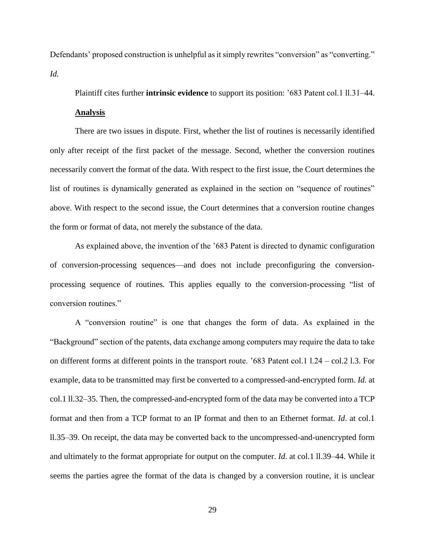Defendants' proposed construction is unhelpful as it simply rewrites "conversion" as "converting." *Id.*

Plaintiff cites further **intrinsic evidence** to support its position: '683 Patent col.1 ll.31–44.

# **Analysis**

There are two issues in dispute. First, whether the list of routines is necessarily identified only after receipt of the first packet of the message. Second, whether the conversion routines necessarily convert the format of the data. With respect to the first issue, the Court determines the list of routines is dynamically generated as explained in the section on "sequence of routines" above. With respect to the second issue, the Court determines that a conversion routine changes the form or format of data, not merely the substance of the data.

As explained above, the invention of the '683 Patent is directed to dynamic configuration of conversion-processing sequences—and does not include preconfiguring the conversionprocessing sequence of routines. This applies equally to the conversion-processing "list of conversion routines."

A "conversion routine" is one that changes the form of data. As explained in the "Background" section of the patents, data exchange among computers may require the data to take on different forms at different points in the transport route. '683 Patent col.1 l.24 – col.2 l.3. For example, data to be transmitted may first be converted to a compressed-and-encrypted form. *Id*. at col.1 ll.32–35. Then, the compressed-and-encrypted form of the data may be converted into a TCP format and then from a TCP format to an IP format and then to an Ethernet format. *Id*. at col.1 ll.35–39. On receipt, the data may be converted back to the uncompressed-and-unencrypted form and ultimately to the format appropriate for output on the computer. *Id*. at col.1 ll.39–44. While it seems the parties agree the format of the data is changed by a conversion routine, it is unclear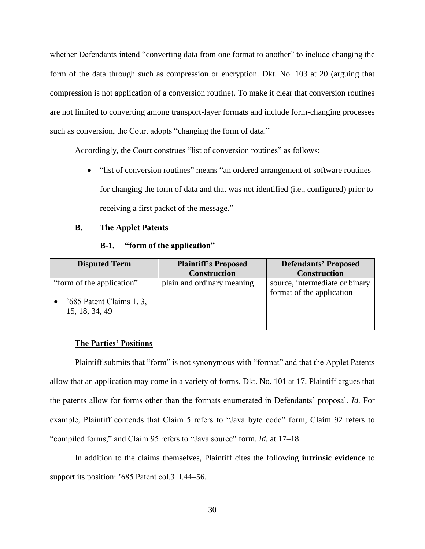whether Defendants intend "converting data from one format to another" to include changing the form of the data through such as compression or encryption. Dkt. No. 103 at 20 (arguing that compression is not application of a conversion routine). To make it clear that conversion routines are not limited to converting among transport-layer formats and include form-changing processes such as conversion, the Court adopts "changing the form of data."

Accordingly, the Court construes "list of conversion routines" as follows:

• "list of conversion routines" means "an ordered arrangement of software routines for changing the form of data and that was not identified (i.e., configured) prior to receiving a first packet of the message."

## <span id="page-29-0"></span>**B. The Applet Patents**

| $B-1.$ |  |  | "form of the application" |  |  |
|--------|--|--|---------------------------|--|--|
|--------|--|--|---------------------------|--|--|

<span id="page-29-1"></span>

| <b>Disputed Term</b>                                                      | <b>Plaintiff's Proposed</b> | <b>Defendants' Proposed</b>                                 |  |
|---------------------------------------------------------------------------|-----------------------------|-------------------------------------------------------------|--|
|                                                                           | <b>Construction</b>         | <b>Construction</b>                                         |  |
| "form of the application"<br>$'685$ Patent Claims 1, 3,<br>15, 18, 34, 49 | plain and ordinary meaning  | source, intermediate or binary<br>format of the application |  |

# **The Parties' Positions**

Plaintiff submits that "form" is not synonymous with "format" and that the Applet Patents allow that an application may come in a variety of forms. Dkt. No. 101 at 17. Plaintiff argues that the patents allow for forms other than the formats enumerated in Defendants' proposal. *Id.* For example, Plaintiff contends that Claim 5 refers to "Java byte code" form, Claim 92 refers to "compiled forms," and Claim 95 refers to "Java source" form. *Id.* at 17–18.

In addition to the claims themselves, Plaintiff cites the following **intrinsic evidence** to support its position: '685 Patent col.3 ll.44–56.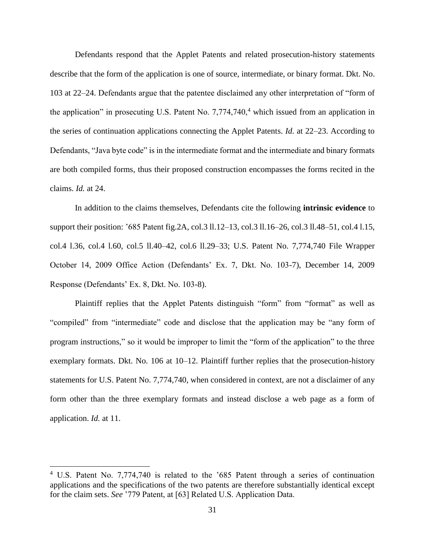Defendants respond that the Applet Patents and related prosecution-history statements describe that the form of the application is one of source, intermediate, or binary format. Dkt. No. 103 at 22–24. Defendants argue that the patentee disclaimed any other interpretation of "form of the application" in prosecuting U.S. Patent No.  $7,774,740<sup>4</sup>$  which issued from an application in the series of continuation applications connecting the Applet Patents. *Id.* at 22–23. According to Defendants, "Java byte code" is in the intermediate format and the intermediate and binary formats are both compiled forms, thus their proposed construction encompasses the forms recited in the claims. *Id.* at 24.

In addition to the claims themselves, Defendants cite the following **intrinsic evidence** to support their position: '685 Patent fig.2A, col.3 ll.12–13, col.3 ll.16–26, col.3 ll.48–51, col.4 l.15, col.4 l.36, col.4 l.60, col.5 ll.40–42, col.6 ll.29–33; U.S. Patent No. 7,774,740 File Wrapper October 14, 2009 Office Action (Defendants' Ex. 7, Dkt. No. 103-7), December 14, 2009 Response (Defendants' Ex. 8, Dkt. No. 103-8).

Plaintiff replies that the Applet Patents distinguish "form" from "format" as well as "compiled" from "intermediate" code and disclose that the application may be "any form of program instructions," so it would be improper to limit the "form of the application" to the three exemplary formats. Dkt. No. 106 at 10–12. Plaintiff further replies that the prosecution-history statements for U.S. Patent No. 7,774,740, when considered in context, are not a disclaimer of any form other than the three exemplary formats and instead disclose a web page as a form of application. *Id.* at 11.

 $\overline{a}$ 

<sup>4</sup> U.S. Patent No. 7,774,740 is related to the '685 Patent through a series of continuation applications and the specifications of the two patents are therefore substantially identical except for the claim sets. *See* '779 Patent, at [63] Related U.S. Application Data.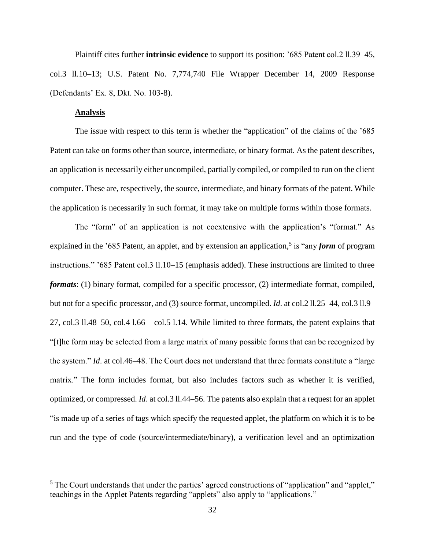Plaintiff cites further **intrinsic evidence** to support its position: '685 Patent col.2 ll.39–45, col.3 ll.10–13; U.S. Patent No. 7,774,740 File Wrapper December 14, 2009 Response (Defendants' Ex. 8, Dkt. No. 103-8).

## **Analysis**

 $\overline{a}$ 

The issue with respect to this term is whether the "application" of the claims of the '685 Patent can take on forms other than source, intermediate, or binary format. As the patent describes, an application is necessarily either uncompiled, partially compiled, or compiled to run on the client computer. These are, respectively, the source, intermediate, and binary formats of the patent. While the application is necessarily in such format, it may take on multiple forms within those formats.

The "form" of an application is not coextensive with the application's "format." As explained in the '685 Patent, an applet, and by extension an application,<sup>5</sup> is "any *form* of program instructions." '685 Patent col.3 ll.10–15 (emphasis added). These instructions are limited to three *formats*: (1) binary format, compiled for a specific processor, (2) intermediate format, compiled, but not for a specific processor, and (3) source format, uncompiled. *Id*. at col.2 ll.25–44, col.3 ll.9– 27, col.3 ll.48–50, col.4 l.66 – col.5 l.14. While limited to three formats, the patent explains that "[t]he form may be selected from a large matrix of many possible forms that can be recognized by the system." *Id*. at col.46–48. The Court does not understand that three formats constitute a "large matrix." The form includes format, but also includes factors such as whether it is verified, optimized, or compressed. *Id*. at col.3 ll.44–56. The patents also explain that a request for an applet "is made up of a series of tags which specify the requested applet, the platform on which it is to be run and the type of code (source/intermediate/binary), a verification level and an optimization

<sup>&</sup>lt;sup>5</sup> The Court understands that under the parties' agreed constructions of "application" and "applet," teachings in the Applet Patents regarding "applets" also apply to "applications."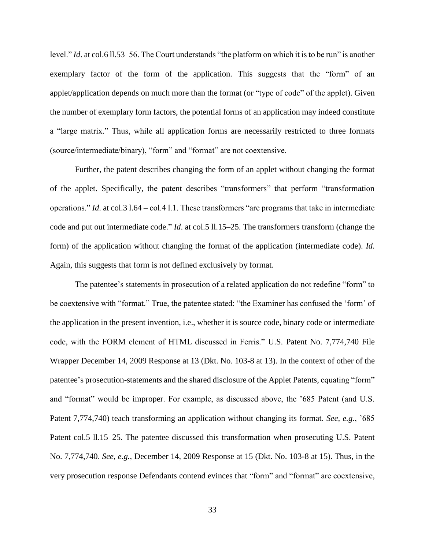level." *Id*. at col.6 ll.53–56. The Court understands "the platform on which it is to be run" is another exemplary factor of the form of the application. This suggests that the "form" of an applet/application depends on much more than the format (or "type of code" of the applet). Given the number of exemplary form factors, the potential forms of an application may indeed constitute a "large matrix." Thus, while all application forms are necessarily restricted to three formats (source/intermediate/binary), "form" and "format" are not coextensive.

Further, the patent describes changing the form of an applet without changing the format of the applet. Specifically, the patent describes "transformers" that perform "transformation operations." *Id*. at col.3 l.64 – col.4 l.1. These transformers "are programs that take in intermediate code and put out intermediate code." *Id*. at col.5 ll.15–25. The transformers transform (change the form) of the application without changing the format of the application (intermediate code). *Id*. Again, this suggests that form is not defined exclusively by format.

The patentee's statements in prosecution of a related application do not redefine "form" to be coextensive with "format." True, the patentee stated: "the Examiner has confused the 'form' of the application in the present invention, i.e., whether it is source code, binary code or intermediate code, with the FORM element of HTML discussed in Ferris." U.S. Patent No. 7,774,740 File Wrapper December 14, 2009 Response at 13 (Dkt. No. 103-8 at 13). In the context of other of the patentee's prosecution-statements and the shared disclosure of the Applet Patents, equating "form" and "format" would be improper. For example, as discussed above, the '685 Patent (and U.S. Patent 7,774,740) teach transforming an application without changing its format. *See, e.g.*, '685 Patent col.5 ll.15–25. The patentee discussed this transformation when prosecuting U.S. Patent No. 7,774,740. *See, e.g.*, December 14, 2009 Response at 15 (Dkt. No. 103-8 at 15). Thus, in the very prosecution response Defendants contend evinces that "form" and "format" are coextensive,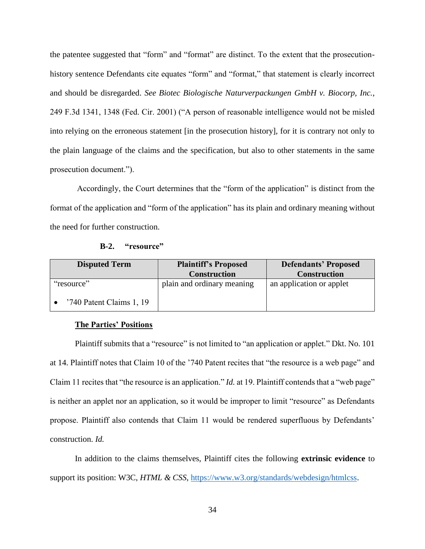the patentee suggested that "form" and "format" are distinct. To the extent that the prosecutionhistory sentence Defendants cite equates "form" and "format," that statement is clearly incorrect and should be disregarded. *See Biotec Biologische Naturverpackungen GmbH v. Biocorp, Inc.*, 249 F.3d 1341, 1348 (Fed. Cir. 2001) ("A person of reasonable intelligence would not be misled into relying on the erroneous statement [in the prosecution history], for it is contrary not only to the plain language of the claims and the specification, but also to other statements in the same prosecution document.").

Accordingly, the Court determines that the "form of the application" is distinct from the format of the application and "form of the application" has its plain and ordinary meaning without the need for further construction.

<span id="page-33-0"></span>

| <b>Disputed Term</b>     | <b>Plaintiff's Proposed</b> | <b>Defendants' Proposed</b> |
|--------------------------|-----------------------------|-----------------------------|
|                          | <b>Construction</b>         | <b>Construction</b>         |
| "resource"               | plain and ordinary meaning  | an application or applet    |
| '740 Patent Claims 1, 19 |                             |                             |

#### **The Parties' Positions**

Plaintiff submits that a "resource" is not limited to "an application or applet." Dkt. No. 101 at 14. Plaintiff notes that Claim 10 of the '740 Patent recites that "the resource is a web page" and Claim 11 recites that "the resource is an application." *Id.* at 19. Plaintiff contends that a "web page" is neither an applet nor an application, so it would be improper to limit "resource" as Defendants propose. Plaintiff also contends that Claim 11 would be rendered superfluous by Defendants' construction. *Id.*

In addition to the claims themselves, Plaintiff cites the following **extrinsic evidence** to support its position: W3C, *HTML & CSS*, [https://www.w3.org/standards/webdesign/htmlcss.](https://www.w3.org/standards/webdesign/htmlcss)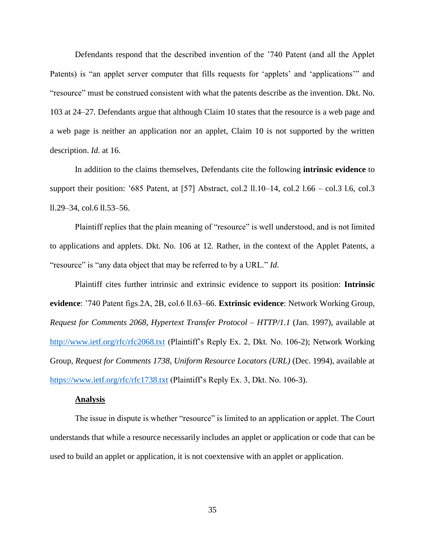Defendants respond that the described invention of the '740 Patent (and all the Applet Patents) is "an applet server computer that fills requests for 'applets' and 'applications'" and "resource" must be construed consistent with what the patents describe as the invention. Dkt. No. 103 at 24–27. Defendants argue that although Claim 10 states that the resource is a web page and a web page is neither an application nor an applet, Claim 10 is not supported by the written description. *Id.* at 16.

In addition to the claims themselves, Defendants cite the following **intrinsic evidence** to support their position: '685 Patent, at [57] Abstract, col.2 ll.10–14, col.2 l.66 – col.3 l.6, col.3 ll.29–34, col.6 ll.53–56.

Plaintiff replies that the plain meaning of "resource" is well understood, and is not limited to applications and applets. Dkt. No. 106 at 12. Rather, in the context of the Applet Patents, a "resource" is "any data object that may be referred to by a URL." *Id.*

Plaintiff cites further intrinsic and extrinsic evidence to support its position: **Intrinsic evidence**: '740 Patent figs.2A, 2B, col.6 ll.63–66. **Extrinsic evidence**: Network Working Group, *Request for Comments 2068*, *Hypertext Transfer Protocol – HTTP/1.1* (Jan. 1997), available at <http://www.ietf.org/rfc/rfc2068.txt> (Plaintiff's Reply Ex. 2, Dkt. No. 106-2); Network Working Group, *Request for Comments 1738*, *Uniform Resource Locators (URL)* (Dec. 1994), available at <https://www.ietf.org/rfc/rfc1738.txt> (Plaintiff's Reply Ex. 3, Dkt. No. 106-3).

#### **Analysis**

The issue in dispute is whether "resource" is limited to an application or applet. The Court understands that while a resource necessarily includes an applet or application or code that can be used to build an applet or application, it is not coextensive with an applet or application.

35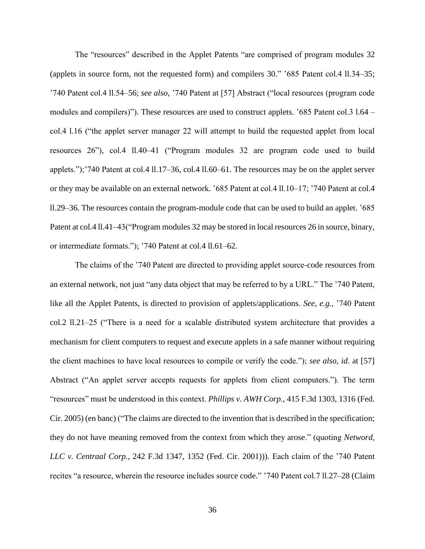The "resources" described in the Applet Patents "are comprised of program modules 32 (applets in source form, not the requested form) and compilers 30." '685 Patent col.4 ll.34–35; '740 Patent col.4 ll.54–56; *see also*, '740 Patent at [57] Abstract ("local resources (program code modules and compilers)"). These resources are used to construct applets. '685 Patent col.3 l.64 – col.4 l.16 ("the applet server manager 22 will attempt to build the requested applet from local resources 26"), col.4 ll.40–41 ("Program modules 32 are program code used to build applets.");'740 Patent at col.4 ll.17–36, col.4 ll.60–61. The resources may be on the applet server or they may be available on an external network. '685 Patent at col.4 ll.10–17; '740 Patent at col.4 ll.29–36. The resources contain the program-module code that can be used to build an applet. '685 Patent at col.4 ll.41–43("Program modules 32 may be stored in local resources 26 in source, binary, or intermediate formats."); '740 Patent at col.4 ll.61–62.

The claims of the '740 Patent are directed to providing applet source-code resources from an external network, not just "any data object that may be referred to by a URL." The '740 Patent, like all the Applet Patents, is directed to provision of applets/applications*. See, e.g.,* '740 Patent col.2 ll.21–25 ("There is a need for a scalable distributed system architecture that provides a mechanism for client computers to request and execute applets in a safe manner without requiring the client machines to have local resources to compile or verify the code."); *see also, id*. at [57] Abstract ("An applet server accepts requests for applets from client computers."). The term "resources" must be understood in this context. *Phillips v. AWH Corp.*, 415 F.3d 1303, 1316 (Fed. Cir. 2005) (en banc) ("The claims are directed to the invention that is described in the specification; they do not have meaning removed from the context from which they arose." (quoting *Netword, LLC v. Centraal Corp.*, 242 F.3d 1347, 1352 (Fed. Cir. 2001))). Each claim of the '740 Patent recites "a resource, wherein the resource includes source code." '740 Patent col.7 ll.27–28 (Claim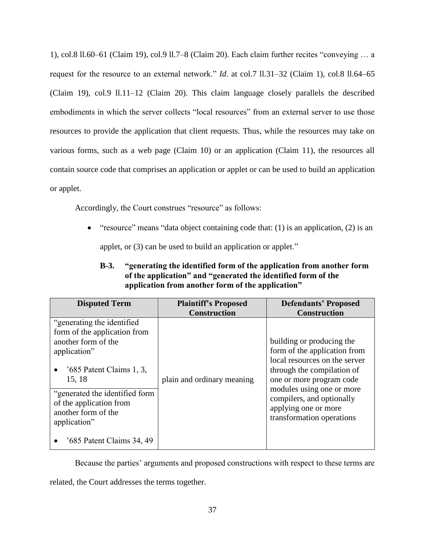1), col.8 ll.60–61 (Claim 19), col.9 ll.7–8 (Claim 20). Each claim further recites "conveying … a request for the resource to an external network." *Id*. at col.7 ll.31–32 (Claim 1), col.8 ll.64–65 (Claim 19), col.9 ll.11–12 (Claim 20). This claim language closely parallels the described embodiments in which the server collects "local resources" from an external server to use those resources to provide the application that client requests. Thus, while the resources may take on various forms, such as a web page (Claim 10) or an application (Claim 11), the resources all contain source code that comprises an application or applet or can be used to build an application or applet.

Accordingly, the Court construes "resource" as follows:

• "resource" means "data object containing code that:  $(1)$  is an application,  $(2)$  is an applet, or (3) can be used to build an application or applet."

# **B-3. "generating the identified form of the application from another form of the application" and "generated the identified form of the application from another form of the application"**

<span id="page-36-0"></span>

| <b>Disputed Term</b>                                                                                                                                                                                                                                                          | <b>Plaintiff's Proposed</b><br><b>Construction</b> | <b>Defendants' Proposed</b><br><b>Construction</b>                                                                                                                                                                                                                  |
|-------------------------------------------------------------------------------------------------------------------------------------------------------------------------------------------------------------------------------------------------------------------------------|----------------------------------------------------|---------------------------------------------------------------------------------------------------------------------------------------------------------------------------------------------------------------------------------------------------------------------|
| "generating the identified"<br>form of the application from<br>another form of the<br>application"<br>$3, 685$ Patent Claims 1, 3,<br>15, 18<br>"generated the identified form<br>of the application from<br>another form of the<br>application"<br>'685 Patent Claims 34, 49 | plain and ordinary meaning                         | building or producing the<br>form of the application from<br>local resources on the server<br>through the compilation of<br>one or more program code<br>modules using one or more<br>compilers, and optionally<br>applying one or more<br>transformation operations |

Because the parties' arguments and proposed constructions with respect to these terms are

related, the Court addresses the terms together.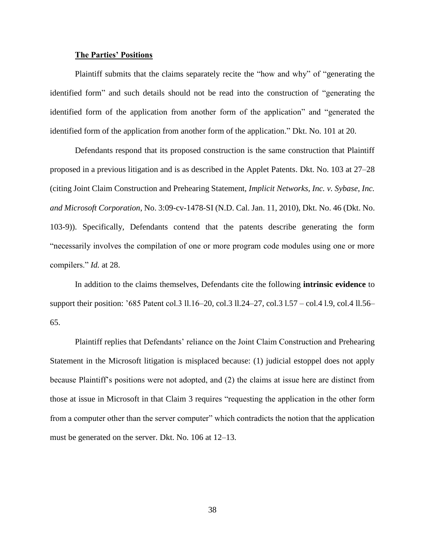#### **The Parties' Positions**

Plaintiff submits that the claims separately recite the "how and why" of "generating the identified form" and such details should not be read into the construction of "generating the identified form of the application from another form of the application" and "generated the identified form of the application from another form of the application." Dkt. No. 101 at 20.

Defendants respond that its proposed construction is the same construction that Plaintiff proposed in a previous litigation and is as described in the Applet Patents. Dkt. No. 103 at 27–28 (citing Joint Claim Construction and Prehearing Statement, *Implicit Networks, Inc. v. Sybase, Inc. and Microsoft Corporation*, No. 3:09-cv-1478-SI (N.D. Cal. Jan. 11, 2010), Dkt. No. 46 (Dkt. No. 103-9)). Specifically, Defendants contend that the patents describe generating the form "necessarily involves the compilation of one or more program code modules using one or more compilers." *Id.* at 28.

In addition to the claims themselves, Defendants cite the following **intrinsic evidence** to support their position: '685 Patent col.3 ll.16–20, col.3 ll.24–27, col.3 l.57 – col.4 l.9, col.4 ll.56– 65.

Plaintiff replies that Defendants' reliance on the Joint Claim Construction and Prehearing Statement in the Microsoft litigation is misplaced because: (1) judicial estoppel does not apply because Plaintiff's positions were not adopted, and (2) the claims at issue here are distinct from those at issue in Microsoft in that Claim 3 requires "requesting the application in the other form from a computer other than the server computer" which contradicts the notion that the application must be generated on the server. Dkt. No. 106 at 12–13.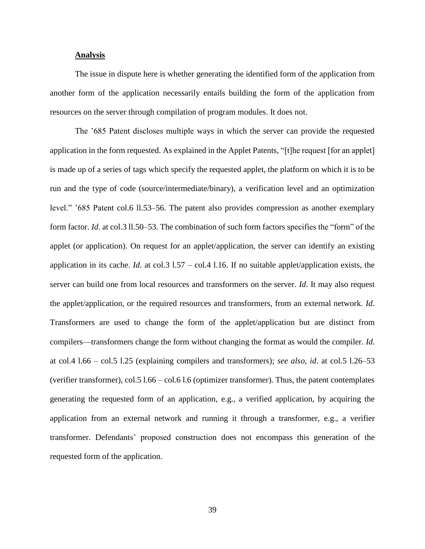#### **Analysis**

The issue in dispute here is whether generating the identified form of the application from another form of the application necessarily entails building the form of the application from resources on the server through compilation of program modules. It does not.

The '685 Patent discloses multiple ways in which the server can provide the requested application in the form requested. As explained in the Applet Patents, "[t]he request [for an applet] is made up of a series of tags which specify the requested applet, the platform on which it is to be run and the type of code (source/intermediate/binary), a verification level and an optimization level." '685 Patent col.6 ll.53–56. The patent also provides compression as another exemplary form factor. *Id*. at col.3 ll.50–53. The combination of such form factors specifies the "form" of the applet (or application). On request for an applet/application, the server can identify an existing application in its cache. *Id*. at col.3 l.57 – col.4 l.16. If no suitable applet/application exists, the server can build one from local resources and transformers on the server. *Id*. It may also request the applet/application, or the required resources and transformers, from an external network. *Id*. Transformers are used to change the form of the applet/application but are distinct from compilers—transformers change the form without changing the format as would the compiler. *Id*. at col.4 l.66 – col.5 l.25 (explaining compilers and transformers); *see also, id*. at col.5 l.26–53 (verifier transformer), col.5 l.66 – col.6 l.6 (optimizer transformer). Thus, the patent contemplates generating the requested form of an application, e.g., a verified application, by acquiring the application from an external network and running it through a transformer, e.g., a verifier transformer. Defendants' proposed construction does not encompass this generation of the requested form of the application.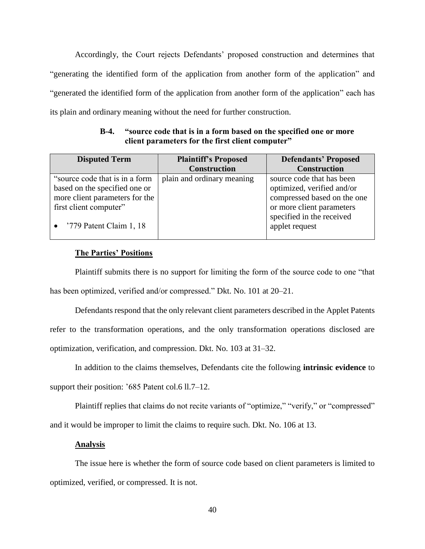Accordingly, the Court rejects Defendants' proposed construction and determines that "generating the identified form of the application from another form of the application" and "generated the identified form of the application from another form of the application" each has its plain and ordinary meaning without the need for further construction.

**B-4. "source code that is in a form based on the specified one or more client parameters for the first client computer"**

<span id="page-39-0"></span>

| <b>Construction</b><br><b>Construction</b><br>"source code that is in a form"<br>plain and ordinary meaning<br>source code that has been<br>optimized, verified and/or<br>based on the specified one or<br>more client parameters for the | <b>Disputed Term</b>   | <b>Defendants' Proposed</b> | <b>Plaintiff's Proposed</b> |                             |
|-------------------------------------------------------------------------------------------------------------------------------------------------------------------------------------------------------------------------------------------|------------------------|-----------------------------|-----------------------------|-----------------------------|
|                                                                                                                                                                                                                                           |                        |                             |                             |                             |
| specified in the received<br>'779 Patent Claim 1, 18<br>applet request                                                                                                                                                                    | first client computer" | or more client parameters   |                             | compressed based on the one |

# **The Parties' Positions**

Plaintiff submits there is no support for limiting the form of the source code to one "that has been optimized, verified and/or compressed." Dkt. No. 101 at 20–21.

Defendants respond that the only relevant client parameters described in the Applet Patents refer to the transformation operations, and the only transformation operations disclosed are optimization, verification, and compression. Dkt. No. 103 at 31–32.

In addition to the claims themselves, Defendants cite the following **intrinsic evidence** to support their position: '685 Patent col.6 ll.7–12.

Plaintiff replies that claims do not recite variants of "optimize," "verify," or "compressed" and it would be improper to limit the claims to require such. Dkt. No. 106 at 13.

# **Analysis**

The issue here is whether the form of source code based on client parameters is limited to optimized, verified, or compressed. It is not.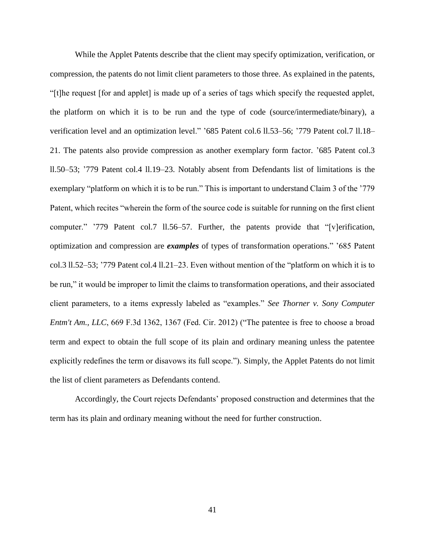While the Applet Patents describe that the client may specify optimization, verification, or compression, the patents do not limit client parameters to those three. As explained in the patents, "[t]he request [for and applet] is made up of a series of tags which specify the requested applet, the platform on which it is to be run and the type of code (source/intermediate/binary), a verification level and an optimization level." '685 Patent col.6 ll.53-56; '779 Patent col.7 ll.18-21. The patents also provide compression as another exemplary form factor. '685 Patent col.3 ll.50–53; '779 Patent col.4 ll.19–23. Notably absent from Defendants list of limitations is the exemplary "platform on which it is to be run." This is important to understand Claim 3 of the '779 Patent, which recites "wherein the form of the source code is suitable for running on the first client computer." '779 Patent col.7 ll.56–57. Further, the patents provide that "[v]erification, optimization and compression are *examples* of types of transformation operations." '685 Patent col.3 ll.52–53; '779 Patent col.4 ll.21–23. Even without mention of the "platform on which it is to be run," it would be improper to limit the claims to transformation operations, and their associated client parameters, to a items expressly labeled as "examples." *See Thorner v. Sony Computer Entm't Am., LLC*, 669 F.3d 1362, 1367 (Fed. Cir. 2012) ("The patentee is free to choose a broad term and expect to obtain the full scope of its plain and ordinary meaning unless the patentee explicitly redefines the term or disavows its full scope."). Simply, the Applet Patents do not limit the list of client parameters as Defendants contend.

Accordingly, the Court rejects Defendants' proposed construction and determines that the term has its plain and ordinary meaning without the need for further construction.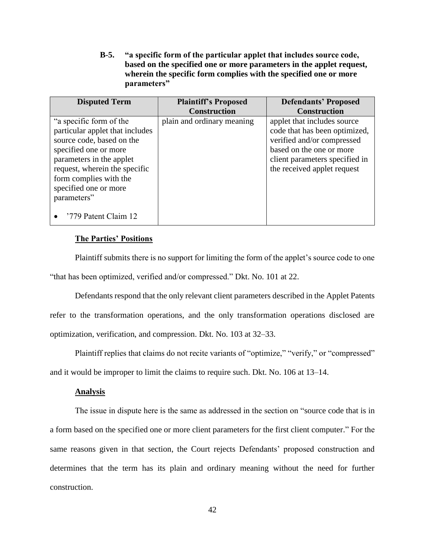**B-5. "a specific form of the particular applet that includes source code, based on the specified one or more parameters in the applet request, wherein the specific form complies with the specified one or more parameters"**

<span id="page-41-0"></span>

| <b>Disputed Term</b>                                                                                                                                                                                    | <b>Plaintiff's Proposed</b> | <b>Defendants' Proposed</b>                                                                                                                                                             |
|---------------------------------------------------------------------------------------------------------------------------------------------------------------------------------------------------------|-----------------------------|-----------------------------------------------------------------------------------------------------------------------------------------------------------------------------------------|
|                                                                                                                                                                                                         | <b>Construction</b>         | <b>Construction</b>                                                                                                                                                                     |
| "a specific form of the<br>particular applet that includes<br>source code, based on the<br>specified one or more<br>parameters in the applet<br>request, wherein the specific<br>form complies with the | plain and ordinary meaning  | applet that includes source<br>code that has been optimized,<br>verified and/or compressed<br>based on the one or more<br>client parameters specified in<br>the received applet request |
| specified one or more<br>parameters"<br>'779 Patent Claim 12                                                                                                                                            |                             |                                                                                                                                                                                         |

## **The Parties' Positions**

Plaintiff submits there is no support for limiting the form of the applet's source code to one "that has been optimized, verified and/or compressed." Dkt. No. 101 at 22.

Defendants respond that the only relevant client parameters described in the Applet Patents refer to the transformation operations, and the only transformation operations disclosed are optimization, verification, and compression. Dkt. No. 103 at 32–33.

Plaintiff replies that claims do not recite variants of "optimize," "verify," or "compressed" and it would be improper to limit the claims to require such. Dkt. No. 106 at 13–14.

#### **Analysis**

The issue in dispute here is the same as addressed in the section on "source code that is in a form based on the specified one or more client parameters for the first client computer." For the same reasons given in that section, the Court rejects Defendants' proposed construction and determines that the term has its plain and ordinary meaning without the need for further construction.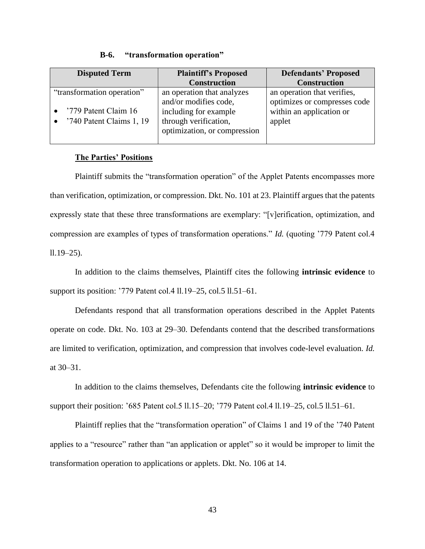<span id="page-42-0"></span>

| <b>Disputed Term</b>                             | <b>Plaintiff's Proposed</b>                                                                             | <b>Defendants' Proposed</b>                                        |
|--------------------------------------------------|---------------------------------------------------------------------------------------------------------|--------------------------------------------------------------------|
|                                                  | <b>Construction</b>                                                                                     | <b>Construction</b>                                                |
| "transformation operation"                       | an operation that analyzes                                                                              | an operation that verifies,                                        |
| '779 Patent Claim 16<br>'740 Patent Claims 1, 19 | and/or modifies code,<br>including for example<br>through verification,<br>optimization, or compression | optimizes or compresses code<br>within an application or<br>applet |

#### **B-6. "transformation operation"**

# **The Parties' Positions**

Plaintiff submits the "transformation operation" of the Applet Patents encompasses more than verification, optimization, or compression. Dkt. No. 101 at 23. Plaintiff argues that the patents expressly state that these three transformations are exemplary: "[v]erification, optimization, and compression are examples of types of transformation operations." *Id.* (quoting '779 Patent col.4  $11.19 - 25$ ).

In addition to the claims themselves, Plaintiff cites the following **intrinsic evidence** to support its position: '779 Patent col.4 ll.19–25, col.5 ll.51–61.

Defendants respond that all transformation operations described in the Applet Patents operate on code. Dkt. No. 103 at 29–30. Defendants contend that the described transformations are limited to verification, optimization, and compression that involves code-level evaluation. *Id.* at 30–31.

In addition to the claims themselves, Defendants cite the following **intrinsic evidence** to support their position: '685 Patent col.5 ll.15–20; '779 Patent col.4 ll.19–25, col.5 ll.51–61.

Plaintiff replies that the "transformation operation" of Claims 1 and 19 of the '740 Patent applies to a "resource" rather than "an application or applet" so it would be improper to limit the transformation operation to applications or applets. Dkt. No. 106 at 14.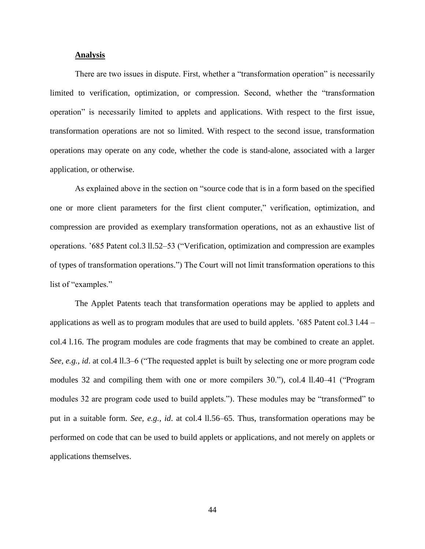#### **Analysis**

There are two issues in dispute. First, whether a "transformation operation" is necessarily limited to verification, optimization, or compression. Second, whether the "transformation operation" is necessarily limited to applets and applications. With respect to the first issue, transformation operations are not so limited. With respect to the second issue, transformation operations may operate on any code, whether the code is stand-alone, associated with a larger application, or otherwise.

As explained above in the section on "source code that is in a form based on the specified one or more client parameters for the first client computer," verification, optimization, and compression are provided as exemplary transformation operations, not as an exhaustive list of operations. '685 Patent col.3 ll.52–53 ("Verification, optimization and compression are examples of types of transformation operations.") The Court will not limit transformation operations to this list of "examples."

The Applet Patents teach that transformation operations may be applied to applets and applications as well as to program modules that are used to build applets. '685 Patent col.3 l.44 – col.4 l.16. The program modules are code fragments that may be combined to create an applet. *See, e.g., id*. at col.4 ll.3–6 ("The requested applet is built by selecting one or more program code modules 32 and compiling them with one or more compilers 30."), col.4 ll.40–41 ("Program modules 32 are program code used to build applets."). These modules may be "transformed" to put in a suitable form. *See, e.g., id*. at col.4 ll.56–65. Thus, transformation operations may be performed on code that can be used to build applets or applications, and not merely on applets or applications themselves.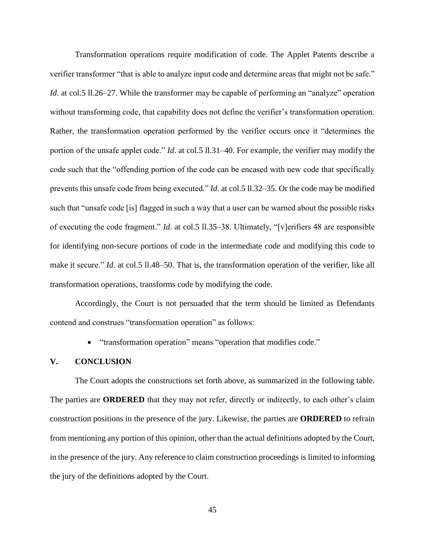Transformation operations require modification of code. The Applet Patents describe a verifier transformer "that is able to analyze input code and determine areas that might not be safe." *Id.* at col.5 ll.26–27. While the transformer may be capable of performing an "analyze" operation without transforming code, that capability does not define the verifier's transformation operation. Rather, the transformation operation performed by the verifier occurs once it "determines the portion of the unsafe applet code." *Id*. at col.5 ll.31–40. For example, the verifier may modify the code such that the "offending portion of the code can be encased with new code that specifically prevents this unsafe code from being executed." *Id*. at col.5 ll.32–35. Or the code may be modified such that "unsafe code [is] flagged in such a way that a user can be warned about the possible risks of executing the code fragment." *Id*. at col.5 ll.35–38. Ultimately, "[v]erifiers 48 are responsible for identifying non-secure portions of code in the intermediate code and modifying this code to make it secure." *Id.* at col.5 ll.48–50. That is, the transformation operation of the verifier, like all transformation operations, transforms code by modifying the code.

Accordingly, the Court is not persuaded that the term should be limited as Defendants contend and construes "transformation operation" as follows:

• "transformation operation" means "operation that modifies code."

#### <span id="page-44-0"></span>**V. CONCLUSION**

The Court adopts the constructions set forth above, as summarized in the following table. The parties are **ORDERED** that they may not refer, directly or indirectly, to each other's claim construction positions in the presence of the jury. Likewise, the parties are **ORDERED** to refrain from mentioning any portion of this opinion, other than the actual definitions adopted by the Court, in the presence of the jury. Any reference to claim construction proceedings is limited to informing the jury of the definitions adopted by the Court.

45